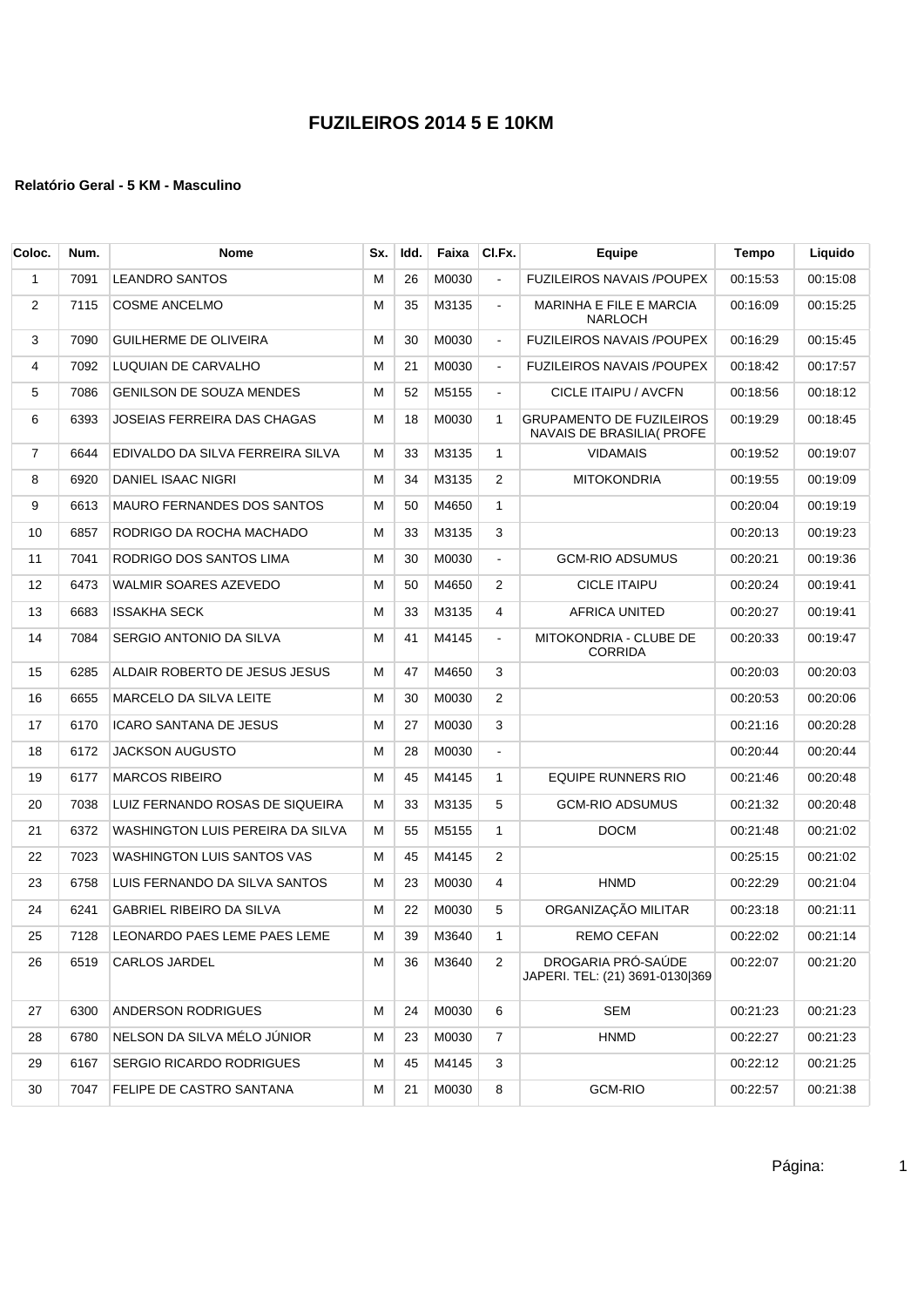| Coloc.         | Num. | <b>Nome</b>                       | Sx. | Idd. | Faixa | CI.Fx.         | Equipe                                                       | <b>Tempo</b> | Liquido  |
|----------------|------|-----------------------------------|-----|------|-------|----------------|--------------------------------------------------------------|--------------|----------|
| $\mathbf{1}$   | 7091 | <b>LEANDRO SANTOS</b>             | м   | 26   | M0030 | $\mathbf{r}$   | <b>FUZILEIROS NAVAIS /POUPEX</b>                             | 00:15:53     | 00:15:08 |
| 2              | 7115 | <b>COSME ANCELMO</b>              | М   | 35   | M3135 | $\blacksquare$ | MARINHA E FILE E MARCIA<br><b>NARLOCH</b>                    | 00:16:09     | 00:15:25 |
| 3              | 7090 | <b>GUILHERME DE OLIVEIRA</b>      | М   | 30   | M0030 | $\blacksquare$ | FUZILEIROS NAVAIS / POUPEX                                   | 00:16:29     | 00:15:45 |
| 4              | 7092 | LUQUIAN DE CARVALHO               | М   | 21   | M0030 | $\blacksquare$ | <b>FUZILEIROS NAVAIS /POUPEX</b>                             | 00:18:42     | 00:17:57 |
| 5              | 7086 | <b>GENILSON DE SOUZA MENDES</b>   | м   | 52   | M5155 | $\blacksquare$ | CICLE ITAIPU / AVCFN                                         | 00:18:56     | 00:18:12 |
| 6              | 6393 | JOSEIAS FERREIRA DAS CHAGAS       | м   | 18   | M0030 | 1              | <b>GRUPAMENTO DE FUZILEIROS</b><br>NAVAIS DE BRASILIA( PROFE | 00:19:29     | 00:18:45 |
| $\overline{7}$ | 6644 | EDIVALDO DA SILVA FERREIRA SILVA  | М   | 33   | M3135 | $\mathbf{1}$   | <b>VIDAMAIS</b>                                              | 00:19:52     | 00:19:07 |
| 8              | 6920 | DANIEL ISAAC NIGRI                | M   | 34   | M3135 | 2              | <b>MITOKONDRIA</b>                                           | 00:19:55     | 00:19:09 |
| 9              | 6613 | <b>MAURO FERNANDES DOS SANTOS</b> | М   | 50   | M4650 | $\mathbf{1}$   |                                                              | 00:20:04     | 00:19:19 |
| 10             | 6857 | RODRIGO DA ROCHA MACHADO          | м   | 33   | M3135 | 3              |                                                              | 00:20:13     | 00:19:23 |
| 11             | 7041 | RODRIGO DOS SANTOS LIMA           | м   | 30   | M0030 | $\blacksquare$ | <b>GCM-RIO ADSUMUS</b>                                       | 00:20:21     | 00:19:36 |
| 12             | 6473 | WALMIR SOARES AZEVEDO             | М   | 50   | M4650 | 2              | <b>CICLE ITAIPU</b>                                          | 00:20:24     | 00:19:41 |
| 13             | 6683 | <b>ISSAKHA SECK</b>               | М   | 33   | M3135 | 4              | <b>AFRICA UNITED</b>                                         | 00:20:27     | 00:19:41 |
| 14             | 7084 | SERGIO ANTONIO DA SILVA           | М   | 41   | M4145 | $\blacksquare$ | MITOKONDRIA - CLUBE DE<br><b>CORRIDA</b>                     | 00:20:33     | 00:19:47 |
| 15             | 6285 | ALDAIR ROBERTO DE JESUS JESUS     | м   | 47   | M4650 | 3              |                                                              | 00:20:03     | 00:20:03 |
| 16             | 6655 | MARCELO DA SILVA LEITE            | м   | 30   | M0030 | 2              |                                                              | 00:20:53     | 00:20:06 |
| 17             | 6170 | <b>ICARO SANTANA DE JESUS</b>     | м   | 27   | M0030 | 3              |                                                              | 00:21:16     | 00:20:28 |
| 18             | 6172 | <b>JACKSON AUGUSTO</b>            | М   | 28   | M0030 | $\blacksquare$ |                                                              | 00:20:44     | 00:20:44 |
| 19             | 6177 | <b>MARCOS RIBEIRO</b>             | M   | 45   | M4145 | 1              | EQUIPE RUNNERS RIO                                           | 00:21:46     | 00:20:48 |
| 20             | 7038 | LUIZ FERNANDO ROSAS DE SIQUEIRA   | М   | 33   | M3135 | 5              | <b>GCM-RIO ADSUMUS</b>                                       | 00:21:32     | 00:20:48 |
| 21             | 6372 | WASHINGTON LUIS PEREIRA DA SILVA  | М   | 55   | M5155 | 1              | <b>DOCM</b>                                                  | 00:21:48     | 00:21:02 |
| 22             | 7023 | WASHINGTON LUIS SANTOS VAS        | м   | 45   | M4145 | 2              |                                                              | 00:25:15     | 00:21:02 |
| 23             | 6758 | LUIS FERNANDO DA SILVA SANTOS     | м   | 23   | M0030 | 4              | <b>HNMD</b>                                                  | 00:22:29     | 00:21:04 |
| 24             | 6241 | <b>GABRIEL RIBEIRO DA SILVA</b>   | М   | 22   | M0030 | 5              | ORGANIZAÇÃO MILITAR                                          | 00:23:18     | 00:21:11 |
| 25             | 7128 | LEONARDO PAES LEME PAES LEME      | М   | 39   | M3640 | 1              | <b>REMO CEFAN</b>                                            | 00:22:02     | 00:21:14 |
| 26             | 6519 | CARLOS JARDEL                     | М   | 36   | M3640 | 2              | DROGARIA PRÓ-SAÚDE<br>JAPERI. TEL: (21) 3691-0130 369        | 00:22:07     | 00:21:20 |
| 27             | 6300 | ANDERSON RODRIGUES                | м   | 24   | M0030 | 6              | SEM                                                          | 00:21:23     | 00:21:23 |
| 28             | 6780 | NELSON DA SILVA MÉLO JÚNIOR       | М   | 23   | M0030 | 7              | <b>HNMD</b>                                                  | 00:22:27     | 00:21:23 |
| 29             | 6167 | SERGIO RICARDO RODRIGUES          | М   | 45   | M4145 | 3              |                                                              | 00:22:12     | 00:21:25 |
| 30             | 7047 | FELIPE DE CASTRO SANTANA          | М   | 21   | M0030 | 8              | <b>GCM-RIO</b>                                               | 00:22:57     | 00:21:38 |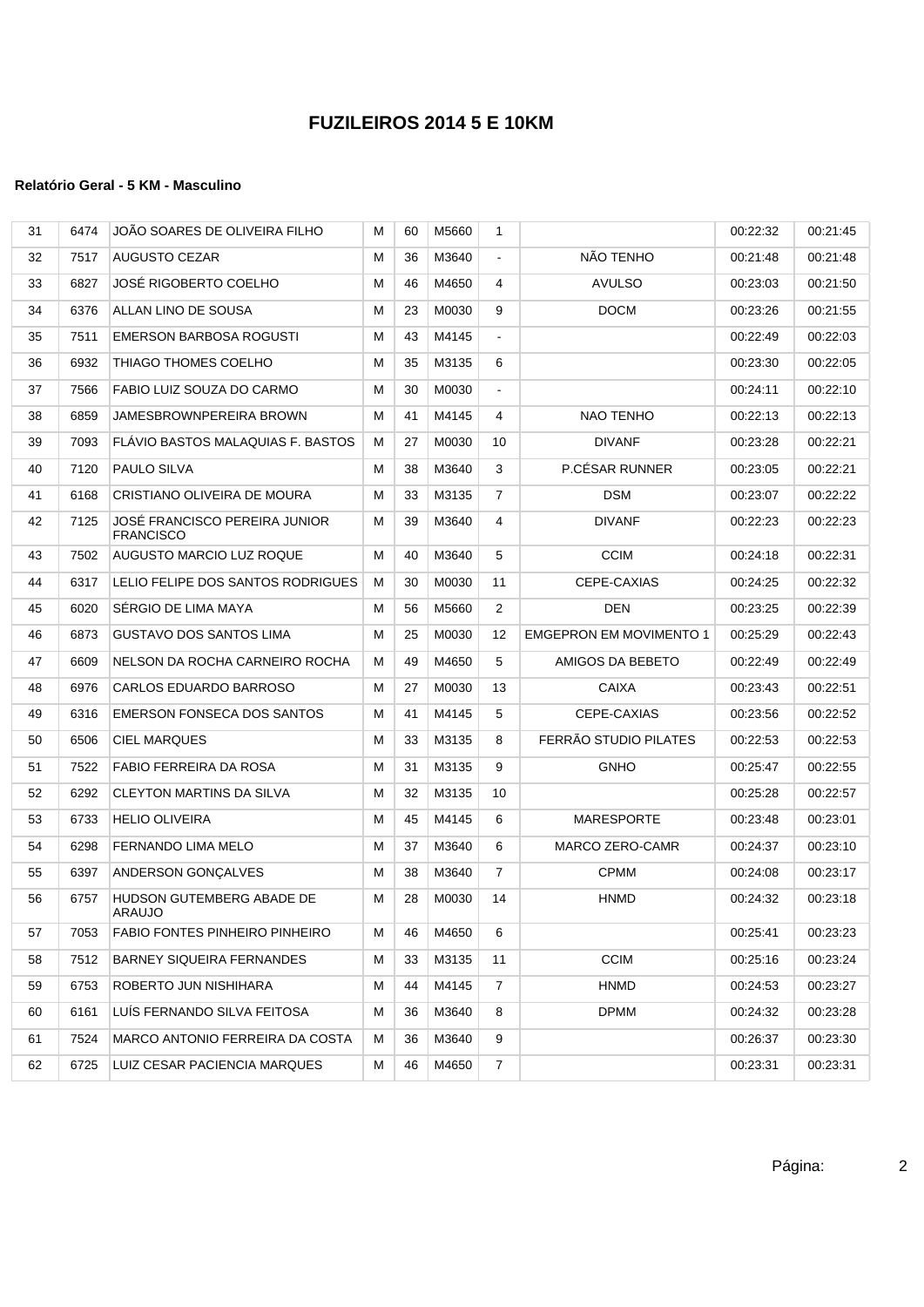| 31 | 6474 | JOÃO SOARES DE OLIVEIRA FILHO                     | М | 60 | M5660 | 1              |                                | 00:22:32 | 00:21:45 |
|----|------|---------------------------------------------------|---|----|-------|----------------|--------------------------------|----------|----------|
| 32 | 7517 | <b>AUGUSTO CEZAR</b>                              | м | 36 | M3640 | $\blacksquare$ | NÃO TENHO                      | 00:21:48 | 00:21:48 |
| 33 | 6827 | <b>JOSÉ RIGOBERTO COELHO</b>                      | м | 46 | M4650 | 4              | <b>AVULSO</b>                  | 00:23:03 | 00:21:50 |
| 34 | 6376 | ALLAN LINO DE SOUSA                               | М | 23 | M0030 | 9              | <b>DOCM</b>                    | 00:23:26 | 00:21:55 |
| 35 | 7511 | EMERSON BARBOSA ROGUSTI                           | м | 43 | M4145 | $\blacksquare$ |                                | 00:22:49 | 00:22:03 |
| 36 | 6932 | THIAGO THOMES COELHO                              | м | 35 | M3135 | 6              |                                | 00:23:30 | 00:22:05 |
| 37 | 7566 | FABIO LUIZ SOUZA DO CARMO                         | м | 30 | M0030 | $\blacksquare$ |                                | 00:24:11 | 00:22:10 |
| 38 | 6859 | JAMESBROWNPEREIRA BROWN                           | м | 41 | M4145 | 4              | NAO TENHO                      | 00:22:13 | 00:22:13 |
| 39 | 7093 | FLAVIO BASTOS MALAQUIAS F. BASTOS                 | м | 27 | M0030 | 10             | <b>DIVANF</b>                  | 00:23:28 | 00:22:21 |
| 40 | 7120 | PAULO SILVA                                       | м | 38 | M3640 | 3              | P.CÉSAR RUNNER                 | 00:23:05 | 00:22:21 |
| 41 | 6168 | CRISTIANO OLIVEIRA DE MOURA                       | М | 33 | M3135 | 7              | <b>DSM</b>                     | 00:23:07 | 00:22:22 |
| 42 | 7125 | JOSÉ FRANCISCO PEREIRA JUNIOR<br><b>FRANCISCO</b> | М | 39 | M3640 | 4              | <b>DIVANF</b>                  | 00:22:23 | 00:22:23 |
| 43 | 7502 | AUGUSTO MARCIO LUZ ROQUE                          | м | 40 | M3640 | 5              | <b>CCIM</b>                    | 00:24:18 | 00:22:31 |
| 44 | 6317 | LELIO FELIPE DOS SANTOS RODRIGUES                 | м | 30 | M0030 | 11             | CEPE-CAXIAS                    | 00:24:25 | 00:22:32 |
| 45 | 6020 | SERGIO DE LIMA MAYA                               | м | 56 | M5660 | 2              | DEN                            | 00:23:25 | 00:22:39 |
| 46 | 6873 | GUSTAVO DOS SANTOS LIMA                           | М | 25 | M0030 | 12             | <b>EMGEPRON EM MOVIMENTO 1</b> | 00:25:29 | 00:22:43 |
| 47 | 6609 | NELSON DA ROCHA CARNEIRO ROCHA                    | М | 49 | M4650 | 5              | AMIGOS DA BEBETO               | 00:22:49 | 00:22:49 |
| 48 | 6976 | CARLOS EDUARDO BARROSO                            | м | 27 | M0030 | 13             | <b>CAIXA</b>                   | 00:23:43 | 00:22:51 |
| 49 | 6316 | <b>EMERSON FONSECA DOS SANTOS</b>                 | м | 41 | M4145 | 5              | CEPE-CAXIAS                    | 00:23:56 | 00:22:52 |
| 50 | 6506 | <b>CIEL MARQUES</b>                               | м | 33 | M3135 | 8              | FERRÃO STUDIO PILATES          | 00:22:53 | 00:22:53 |
| 51 | 7522 | FABIO FERREIRA DA ROSA                            | м | 31 | M3135 | 9              | <b>GNHO</b>                    | 00:25:47 | 00:22:55 |
| 52 | 6292 | <b>CLEYTON MARTINS DA SILVA</b>                   | М | 32 | M3135 | 10             |                                | 00:25:28 | 00:22:57 |
| 53 | 6733 | HELIO OLIVEIRA                                    | М | 45 | M4145 | 6              | <b>MARESPORTE</b>              | 00:23:48 | 00:23:01 |
| 54 | 6298 | <b>FERNANDO LIMA MELO</b>                         | м | 37 | M3640 | 6              | <b>MARCO ZERO-CAMR</b>         | 00:24:37 | 00:23:10 |
| 55 | 6397 | ANDERSON GONÇALVES                                | М | 38 | M3640 | $\overline{7}$ | <b>CPMM</b>                    | 00:24:08 | 00:23:17 |
| 56 | 6757 | HUDSON GUTEMBERG ABADE DE<br>ARAUJO               | м | 28 | M0030 | 14             | <b>HNMD</b>                    | 00:24:32 | 00:23:18 |
| 57 | 7053 | FABIO FONTES PINHEIRO PINHEIRO                    | м | 46 | M4650 | 6              |                                | 00:25:41 | 00:23:23 |
| 58 | 7512 | BARNEY SIQUEIRA FERNANDES                         | м | 33 | M3135 | 11             | <b>CCIM</b>                    | 00:25:16 | 00:23:24 |
| 59 | 6753 | ROBERTO JUN NISHIHARA                             | м | 44 | M4145 | 7              | <b>HNMD</b>                    | 00:24:53 | 00:23:27 |
| 60 | 6161 | LUÍS FERNANDO SILVA FEITOSA                       | М | 36 | M3640 | 8              | <b>DPMM</b>                    | 00:24:32 | 00:23:28 |
| 61 | 7524 | MARCO ANTONIO FERREIRA DA COSTA                   | м | 36 | M3640 | 9              |                                | 00:26:37 | 00:23:30 |
| 62 | 6725 | LUIZ CESAR PACIENCIA MARQUES                      | м | 46 | M4650 | 7              |                                | 00:23:31 | 00:23:31 |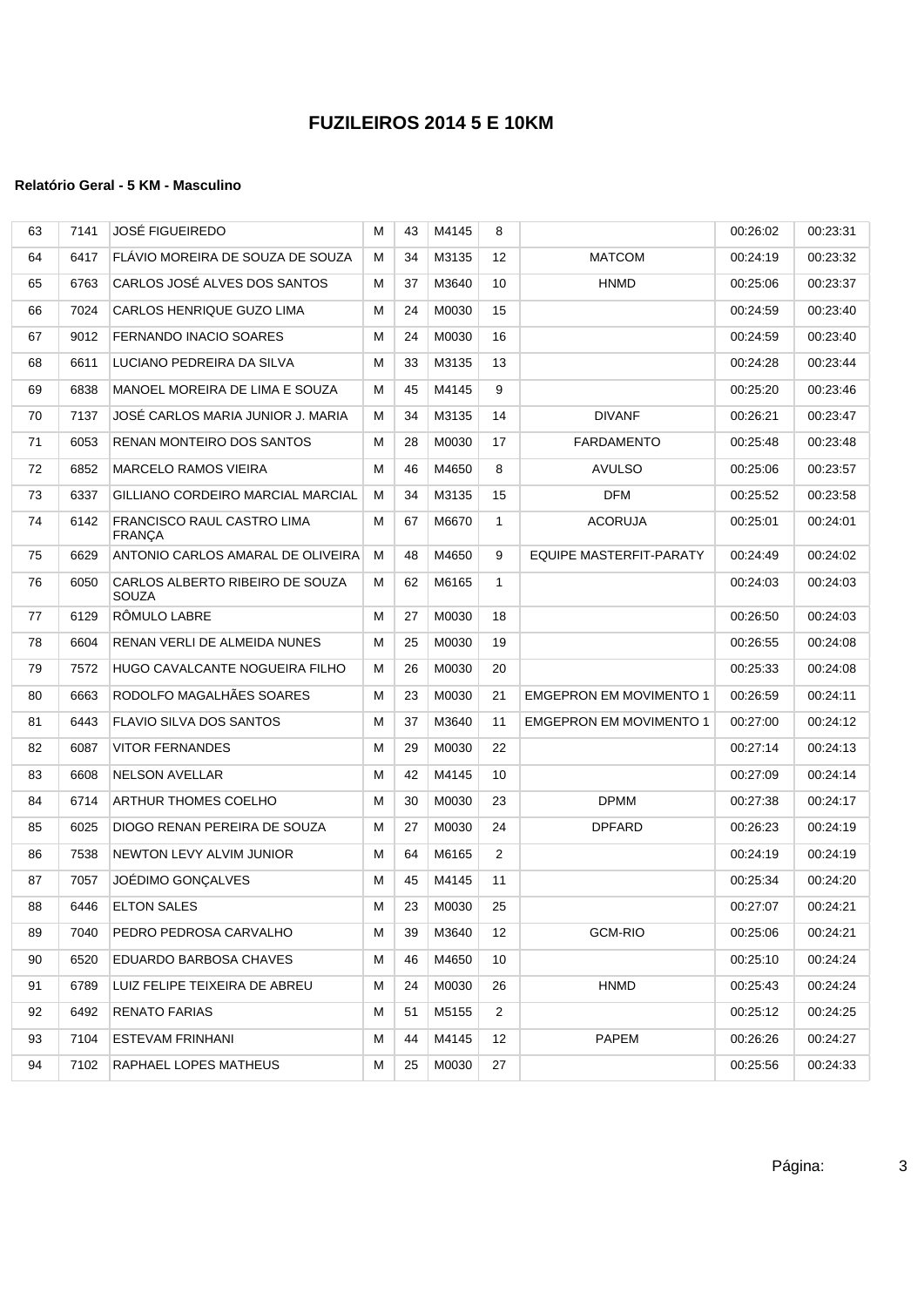| 63 | 7141 | <b>JOSÉ FIGUEIREDO</b>                          | М | 43 | M4145 | 8               |                                | 00:26:02 | 00:23:31 |
|----|------|-------------------------------------------------|---|----|-------|-----------------|--------------------------------|----------|----------|
| 64 | 6417 | FLAVIO MOREIRA DE SOUZA DE SOUZA                | м | 34 | M3135 | 12 <sup>°</sup> | <b>MATCOM</b>                  | 00:24:19 | 00:23:32 |
| 65 | 6763 | CARLOS JOSÉ ALVES DOS SANTOS                    | м | 37 | M3640 | 10              | <b>HNMD</b>                    | 00:25:06 | 00:23:37 |
| 66 | 7024 | CARLOS HENRIQUE GUZO LIMA                       | М | 24 | M0030 | 15              |                                | 00:24:59 | 00:23:40 |
| 67 | 9012 | <b>FERNANDO INACIO SOARES</b>                   | М | 24 | M0030 | 16              |                                | 00:24:59 | 00:23:40 |
| 68 | 6611 | LUCIANO PEDREIRA DA SILVA                       | М | 33 | M3135 | 13              |                                | 00:24:28 | 00:23:44 |
| 69 | 6838 | MANOEL MOREIRA DE LIMA E SOUZA                  | М | 45 | M4145 | 9               |                                | 00:25:20 | 00:23:46 |
| 70 | 7137 | JOSE CARLOS MARIA JUNIOR J. MARIA               | м | 34 | M3135 | 14              | <b>DIVANF</b>                  | 00:26:21 | 00:23:47 |
| 71 | 6053 | RENAN MONTEIRO DOS SANTOS                       | М | 28 | M0030 | 17              | FARDAMENTO                     | 00:25:48 | 00:23:48 |
| 72 | 6852 | <b>MARCELO RAMOS VIEIRA</b>                     | М | 46 | M4650 | 8               | <b>AVULSO</b>                  | 00:25:06 | 00:23:57 |
| 73 | 6337 | GILLIANO CORDEIRO MARCIAL MARCIAL               | М | 34 | M3135 | 15              | DFM                            | 00:25:52 | 00:23:58 |
| 74 | 6142 | FRANCISCO RAUL CASTRO LIMA<br>FRANÇA            | М | 67 | M6670 | 1               | <b>ACORUJA</b>                 | 00:25:01 | 00:24:01 |
| 75 | 6629 | ANTONIO CARLOS AMARAL DE OLIVEIRA               | м | 48 | M4650 | 9               | <b>EQUIPE MASTERFIT-PARATY</b> | 00:24:49 | 00:24:02 |
| 76 | 6050 | CARLOS ALBERTO RIBEIRO DE SOUZA<br><b>SOUZA</b> | М | 62 | M6165 | 1               |                                | 00:24:03 | 00:24:03 |
| 77 | 6129 | RÔMULO LABRE                                    | M | 27 | M0030 | 18              |                                | 00:26:50 | 00:24:03 |
| 78 | 6604 | RENAN VERLI DE ALMEIDA NUNES                    | М | 25 | M0030 | 19              |                                | 00:26:55 | 00:24:08 |
| 79 | 7572 | HUGO CAVALCANTE NOGUEIRA FILHO                  | М | 26 | M0030 | 20              |                                | 00:25:33 | 00:24:08 |
| 80 | 6663 | RODOLFO MAGALHÃES SOARES                        | М | 23 | M0030 | 21              | <b>EMGEPRON EM MOVIMENTO 1</b> | 00:26:59 | 00:24:11 |
| 81 | 6443 | <b>FLAVIO SILVA DOS SANTOS</b>                  | М | 37 | M3640 | 11              | <b>EMGEPRON EM MOVIMENTO 1</b> | 00:27:00 | 00:24:12 |
| 82 | 6087 | <b>VITOR FERNANDES</b>                          | М | 29 | M0030 | 22              |                                | 00:27:14 | 00:24:13 |
| 83 | 6608 | <b>NELSON AVELLAR</b>                           | M | 42 | M4145 | 10              |                                | 00:27:09 | 00:24:14 |
| 84 | 6714 | ARTHUR THOMES COELHO                            | M | 30 | M0030 | 23              | <b>DPMM</b>                    | 00:27:38 | 00:24:17 |
| 85 | 6025 | DIOGO RENAN PEREIRA DE SOUZA                    | м | 27 | M0030 | 24              | <b>DPFARD</b>                  | 00:26:23 | 00:24:19 |
| 86 | 7538 | NEWTON LEVY ALVIM JUNIOR                        | М | 64 | M6165 | 2               |                                | 00:24:19 | 00:24:19 |
| 87 | 7057 | JOÉDIMO GONÇALVES                               | М | 45 | M4145 | 11              |                                | 00:25:34 | 00:24:20 |
| 88 | 6446 | <b>ELTON SALES</b>                              | M | 23 | M0030 | 25              |                                | 00:27:07 | 00:24:21 |
| 89 | 7040 | PEDRO PEDROSA CARVALHO                          | м | 39 | M3640 | 12              | <b>GCM-RIO</b>                 | 00:25:06 | 00:24:21 |
| 90 | 6520 | EDUARDO BARBOSA CHAVES                          | м | 46 | M4650 | 10              |                                | 00:25:10 | 00:24:24 |
| 91 | 6789 | LUIZ FELIPE TEIXEIRA DE ABREU                   | м | 24 | M0030 | 26              | <b>HNMD</b>                    | 00:25:43 | 00:24:24 |
| 92 | 6492 | <b>RENATO FARIAS</b>                            | м | 51 | M5155 | $\overline{2}$  |                                | 00:25:12 | 00:24:25 |
| 93 | 7104 | ESTEVAM FRINHANI                                | M | 44 | M4145 | 12              | PAPEM                          | 00:26:26 | 00:24:27 |
| 94 | 7102 | <b>RAPHAEL LOPES MATHEUS</b>                    | м | 25 | M0030 | 27              |                                | 00:25:56 | 00:24:33 |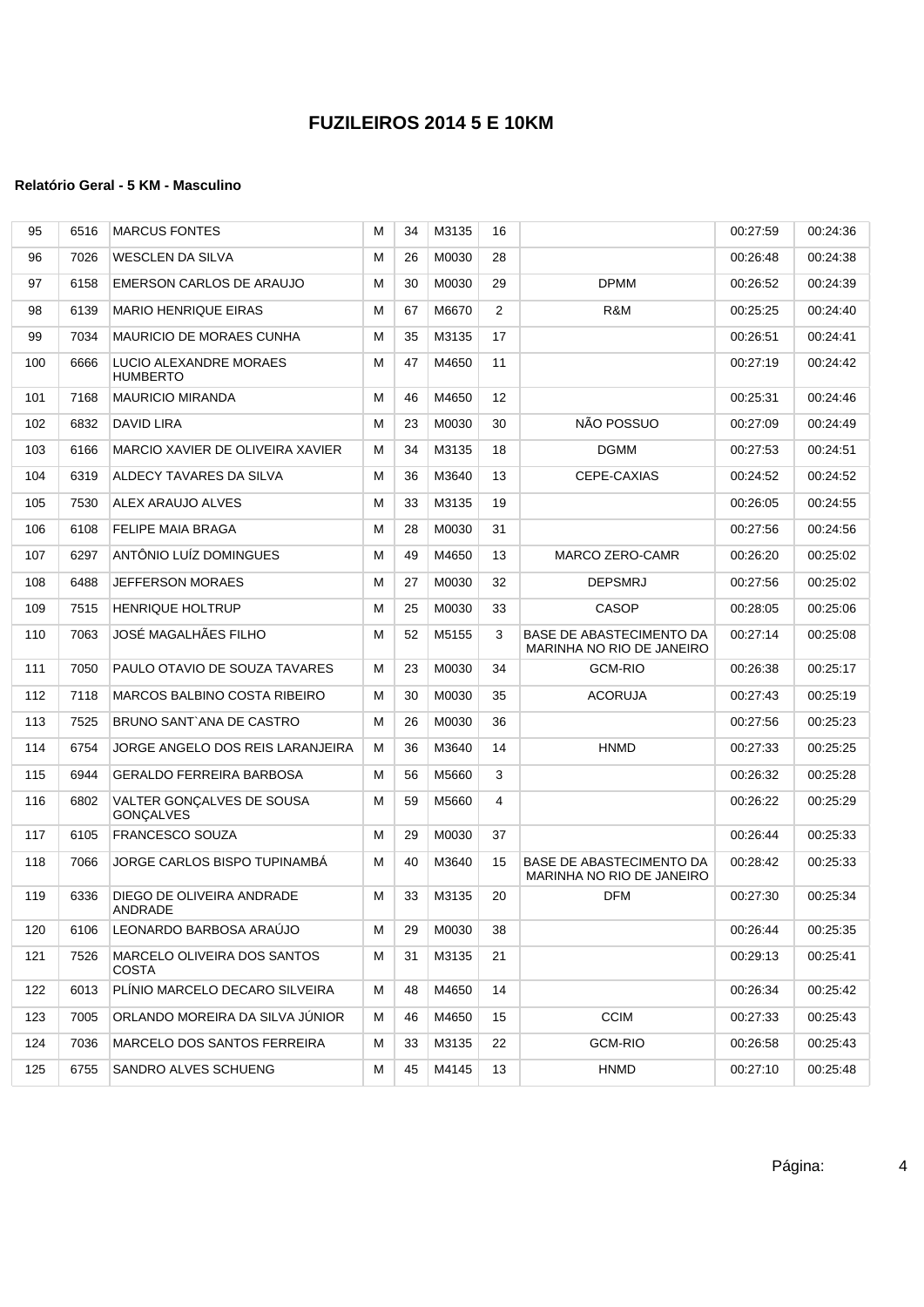| 95  | 6516 | <b>MARCUS FONTES</b>                          | м | 34 | M3135 | 16              |                                                       | 00:27:59 | 00:24:36 |
|-----|------|-----------------------------------------------|---|----|-------|-----------------|-------------------------------------------------------|----------|----------|
| 96  | 7026 | WESCLEN DA SILVA                              | М | 26 | M0030 | 28              |                                                       | 00:26:48 | 00:24:38 |
| 97  | 6158 | EMERSON CARLOS DE ARAUJO                      | м | 30 | M0030 | 29              | <b>DPMM</b>                                           | 00:26:52 | 00:24:39 |
| 98  | 6139 | <b>MARIO HENRIQUE EIRAS</b>                   | м | 67 | M6670 | 2               | R&M                                                   | 00:25:25 | 00:24:40 |
| 99  | 7034 | <b>MAURICIO DE MORAES CUNHA</b>               | М | 35 | M3135 | 17              |                                                       | 00:26:51 | 00:24:41 |
| 100 | 6666 | LUCIO ALEXANDRE MORAES<br><b>HUMBERTO</b>     | М | 47 | M4650 | 11              |                                                       | 00:27:19 | 00:24:42 |
| 101 | 7168 | <b>MAURICIO MIRANDA</b>                       | М | 46 | M4650 | 12 <sup>°</sup> |                                                       | 00:25:31 | 00:24:46 |
| 102 | 6832 | DAVID LIRA                                    | м | 23 | M0030 | 30              | NÃO POSSUO                                            | 00:27:09 | 00:24:49 |
| 103 | 6166 | MARCIO XAVIER DE OLIVEIRA XAVIER              | м | 34 | M3135 | 18              | <b>DGMM</b>                                           | 00:27:53 | 00:24:51 |
| 104 | 6319 | ALDECY TAVARES DA SILVA                       | М | 36 | M3640 | 13              | CEPE-CAXIAS                                           | 00:24:52 | 00:24:52 |
| 105 | 7530 | ALEX ARAUJO ALVES                             | М | 33 | M3135 | 19              |                                                       | 00:26:05 | 00:24:55 |
| 106 | 6108 | <b>FELIPE MAIA BRAGA</b>                      | м | 28 | M0030 | 31              |                                                       | 00:27:56 | 00:24:56 |
| 107 | 6297 | ANTÔNIO LUÍZ DOMINGUES                        | м | 49 | M4650 | 13              | MARCO ZERO-CAMR                                       | 00:26:20 | 00:25:02 |
| 108 | 6488 | <b>JEFFERSON MORAES</b>                       | м | 27 | M0030 | 32              | <b>DEPSMRJ</b>                                        | 00:27:56 | 00:25:02 |
| 109 | 7515 | <b>HENRIQUE HOLTRUP</b>                       | М | 25 | M0030 | 33              | <b>CASOP</b>                                          | 00:28:05 | 00:25:06 |
| 110 | 7063 | JOSÉ MAGALHÃES FILHO                          | М | 52 | M5155 | 3               | BASE DE ABASTECIMENTO DA<br>MARINHA NO RIO DE JANEIRO | 00:27:14 | 00:25:08 |
| 111 | 7050 | PAULO OTAVIO DE SOUZA TAVARES                 | м | 23 | M0030 | 34              | <b>GCM-RIO</b>                                        | 00:26:38 | 00:25:17 |
| 112 | 7118 | MARCOS BALBINO COSTA RIBEIRO                  | м | 30 | M0030 | 35              | <b>ACORUJA</b>                                        | 00:27:43 | 00:25:19 |
| 113 | 7525 | BRUNO SANT ANA DE CASTRO                      | м | 26 | M0030 | 36              |                                                       | 00:27:56 | 00:25:23 |
| 114 | 6754 | JORGE ANGELO DOS REIS LARANJEIRA              | м | 36 | M3640 | 14              | <b>HNMD</b>                                           | 00:27:33 | 00:25:25 |
| 115 | 6944 | <b>GERALDO FERREIRA BARBOSA</b>               | М | 56 | M5660 | 3               |                                                       | 00:26:32 | 00:25:28 |
| 116 | 6802 | VALTER GONÇALVES DE SOUSA<br><b>GONÇALVES</b> | М | 59 | M5660 | 4               |                                                       | 00:26:22 | 00:25:29 |
| 117 | 6105 | <b>FRANCESCO SOUZA</b>                        | м | 29 | M0030 | 37              |                                                       | 00.26.44 | 00:25:33 |
| 118 | 7066 | JORGE CARLOS BISPO TUPINAMBA                  | м | 40 | M3640 | 15              | BASE DE ABASTECIMENTO DA<br>MARINHA NO RIO DE JANEIRO | 00:28:42 | 00:25:33 |
| 119 | 6336 | DIEGO DE OLIVEIRA ANDRADE<br>ANDRADE          | М | 33 | M3135 | 20              | <b>DFM</b>                                            | 00:27:30 | 00:25:34 |
| 120 | 6106 | LEONARDO BARBOSA ARAUJO                       | м | 29 | M0030 | 38              |                                                       | 00:26:44 | 00:25:35 |
| 121 | 7526 | MARCELO OLIVEIRA DOS SANTOS<br><b>COSTA</b>   | М | 31 | M3135 | 21              |                                                       | 00:29:13 | 00:25:41 |
| 122 | 6013 | PLÍNIO MARCELO DECARO SILVEIRA                | м | 48 | M4650 | 14              |                                                       | 00:26:34 | 00:25:42 |
| 123 | 7005 | ORLANDO MOREIRA DA SILVA JÚNIOR               | М | 46 | M4650 | 15              | <b>CCIM</b>                                           | 00:27:33 | 00:25:43 |
| 124 | 7036 | MARCELO DOS SANTOS FERREIRA                   | М | 33 | M3135 | 22              | <b>GCM-RIO</b>                                        | 00:26:58 | 00:25:43 |
| 125 | 6755 | SANDRO ALVES SCHUENG                          | м | 45 | M4145 | 13              | <b>HNMD</b>                                           | 00:27:10 | 00:25:48 |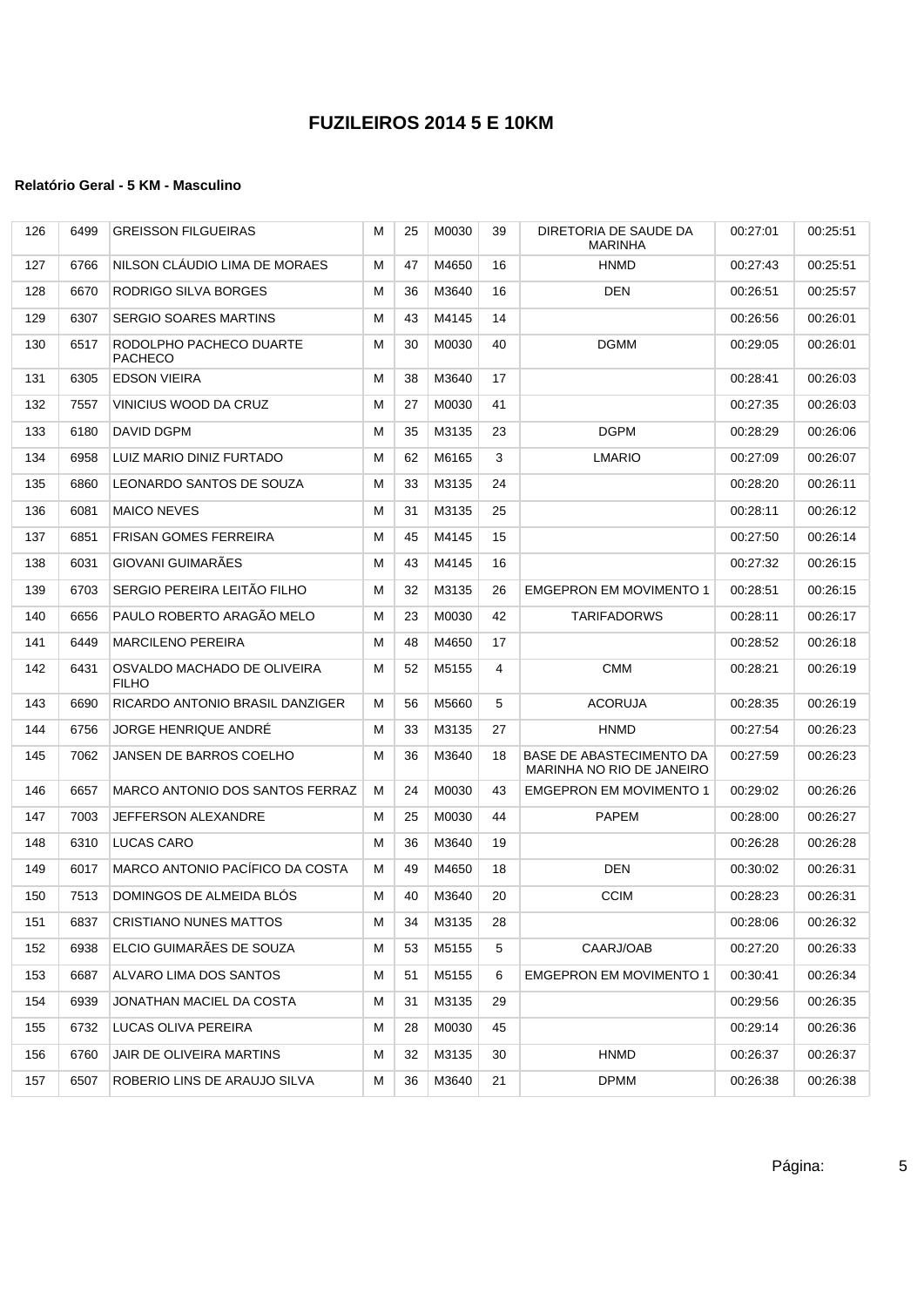| 126 | 6499 | <b>GREISSON FILGUEIRAS</b>                  | М | 25 | M0030 | 39 | DIRETORIA DE SAUDE DA<br><b>MARINHA</b>               | 00:27:01 | 00:25:51 |
|-----|------|---------------------------------------------|---|----|-------|----|-------------------------------------------------------|----------|----------|
| 127 | 6766 | NILSON CLAUDIO LIMA DE MORAES               | М | 47 | M4650 | 16 | <b>HNMD</b>                                           | 00:27:43 | 00:25:51 |
| 128 | 6670 | RODRIGO SILVA BORGES                        | М | 36 | M3640 | 16 | <b>DEN</b>                                            | 00:26:51 | 00:25:57 |
| 129 | 6307 | <b>SERGIO SOARES MARTINS</b>                | М | 43 | M4145 | 14 |                                                       | 00:26:56 | 00:26:01 |
| 130 | 6517 | RODOLPHO PACHECO DUARTE<br><b>PACHECO</b>   | М | 30 | M0030 | 40 | <b>DGMM</b>                                           | 00:29:05 | 00:26:01 |
| 131 | 6305 | <b>EDSON VIEIRA</b>                         | М | 38 | M3640 | 17 |                                                       | 00:28:41 | 00:26:03 |
| 132 | 7557 | VINICIUS WOOD DA CRUZ                       | М | 27 | M0030 | 41 |                                                       | 00:27:35 | 00:26:03 |
| 133 | 6180 | DAVID DGPM                                  | М | 35 | M3135 | 23 | <b>DGPM</b>                                           | 00:28:29 | 00:26:06 |
| 134 | 6958 | LUIZ MARIO DINIZ FURTADO                    | М | 62 | M6165 | 3  | LMARIO                                                | 00:27:09 | 00:26:07 |
| 135 | 6860 | LEONARDO SANTOS DE SOUZA                    | M | 33 | M3135 | 24 |                                                       | 00:28:20 | 00:26:11 |
| 136 | 6081 | <b>MAICO NEVES</b>                          | М | 31 | M3135 | 25 |                                                       | 00:28:11 | 00:26:12 |
| 137 | 6851 | <b>FRISAN GOMES FERREIRA</b>                | М | 45 | M4145 | 15 |                                                       | 00:27:50 | 00:26:14 |
| 138 | 6031 | GIOVANI GUIMARÃES                           | м | 43 | M4145 | 16 |                                                       | 00:27:32 | 00:26:15 |
| 139 | 6703 | SERGIO PEREIRA LEITÃO FILHO                 | М | 32 | M3135 | 26 | <b>EMGEPRON EM MOVIMENTO 1</b>                        | 00:28:51 | 00:26:15 |
| 140 | 6656 | PAULO ROBERTO ARAGÃO MELO                   | М | 23 | M0030 | 42 | <b>TARIFADORWS</b>                                    | 00:28:11 | 00:26:17 |
| 141 | 6449 | <b>MARCILENO PEREIRA</b>                    | М | 48 | M4650 | 17 |                                                       | 00:28:52 | 00:26:18 |
| 142 | 6431 | OSVALDO MACHADO DE OLIVEIRA<br><b>FILHO</b> | М | 52 | M5155 | 4  | <b>CMM</b>                                            | 00:28:21 | 00:26:19 |
| 143 | 6690 | RICARDO ANTONIO BRASIL DANZIGER             | м | 56 | M5660 | 5  | <b>ACORUJA</b>                                        | 00:28:35 | 00:26:19 |
| 144 | 6756 | JORGE HENRIQUE ANDRÉ                        | М | 33 | M3135 | 27 | <b>HNMD</b>                                           | 00:27:54 | 00:26:23 |
| 145 | 7062 | JANSEN DE BARROS COELHO                     | М | 36 | M3640 | 18 | BASE DE ABASTECIMENTO DA<br>MARINHA NO RIO DE JANEIRO | 00:27:59 | 00:26:23 |
| 146 | 6657 | MARCO ANTONIO DOS SANTOS FERRAZ             | М | 24 | M0030 | 43 | <b>EMGEPRON EM MOVIMENTO 1</b>                        | 00:29:02 | 00:26:26 |
| 147 | 7003 | JEFFERSON ALEXANDRE                         | М | 25 | M0030 | 44 | PAPEM                                                 | 00:28:00 | 00:26:27 |
| 148 | 6310 | LUCAS CARO                                  | м | 36 | M3640 | 19 |                                                       | 00:26:28 | 00:26:28 |
| 149 | 6017 | MARCO ANTONIO PACÍFICO DA COSTA             | М | 49 | M4650 | 18 | <b>DEN</b>                                            | 00:30:02 | 00:26:31 |
| 150 | 7513 | DOMINGOS DE ALMEIDA BLÓS                    | М | 40 | M3640 | 20 | <b>CCIM</b>                                           | 00:28:23 | 00:26:31 |
| 151 | 6837 | <b>CRISTIANO NUNES MATTOS</b>               | M | 34 | M3135 | 28 |                                                       | 00:28:06 | 00:26:32 |
| 152 | 6938 | ELCIO GUIMARÃES DE SOUZA                    | М | 53 | M5155 | 5  | CAARJ/OAB                                             | 00:27:20 | 00:26:33 |
| 153 | 6687 | ALVARO LIMA DOS SANTOS                      | M | 51 | M5155 | 6  | <b>EMGEPRON EM MOVIMENTO 1</b>                        | 00:30:41 | 00:26:34 |
| 154 | 6939 | JONATHAN MACIEL DA COSTA                    | M | 31 | M3135 | 29 |                                                       | 00:29:56 | 00:26:35 |
| 155 | 6732 | LUCAS OLIVA PEREIRA                         | М | 28 | M0030 | 45 |                                                       | 00:29:14 | 00:26:36 |
| 156 | 6760 | JAIR DE OLIVEIRA MARTINS                    | М | 32 | M3135 | 30 | <b>HNMD</b>                                           | 00:26:37 | 00:26:37 |
| 157 | 6507 | ROBERIO LINS DE ARAUJO SILVA                | M | 36 | M3640 | 21 | <b>DPMM</b>                                           | 00:26:38 | 00:26:38 |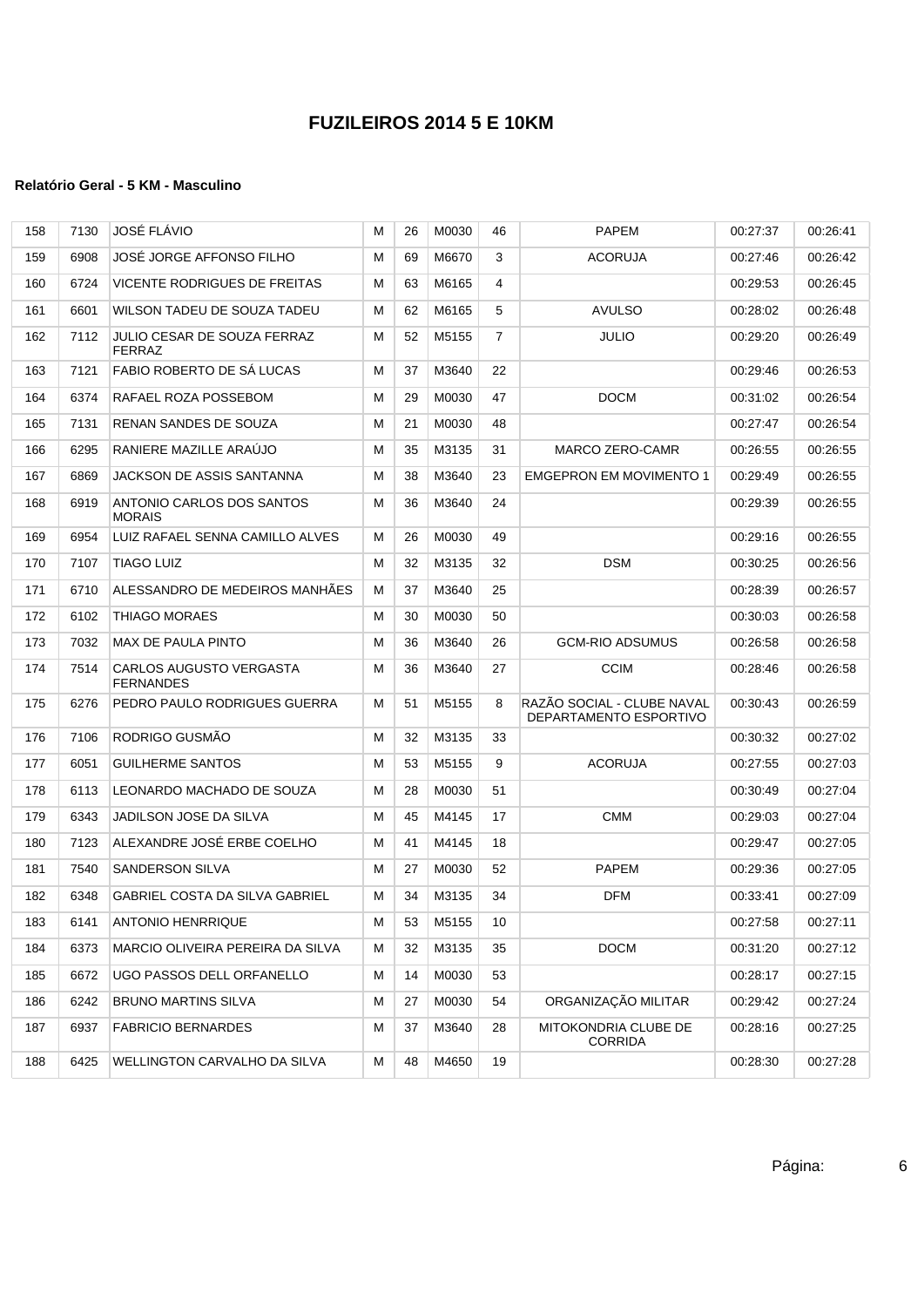| 158 | 7130 | JOSÉ FLÁVIO                                  | М | 26 | M0030 | 46             | <b>PAPEM</b>                                         | 00:27:37 | 00:26:41 |
|-----|------|----------------------------------------------|---|----|-------|----------------|------------------------------------------------------|----------|----------|
| 159 | 6908 | JOSÉ JORGE AFFONSO FILHO                     | м | 69 | M6670 | 3              | <b>ACORUJA</b>                                       | 00:27:46 | 00:26:42 |
| 160 | 6724 | VICENTE RODRIGUES DE FREITAS                 | м | 63 | M6165 | 4              |                                                      | 00:29:53 | 00:26:45 |
| 161 | 6601 | WILSON TADEU DE SOUZA TADEU                  | м | 62 | M6165 | 5              | <b>AVULSO</b>                                        | 00:28:02 | 00:26:48 |
| 162 | 7112 | <b>JULIO CESAR DE SOUZA FERRAZ</b><br>FERRAZ | М | 52 | M5155 | $\overline{7}$ | JULIO                                                | 00:29:20 | 00.26.49 |
| 163 | 7121 | FABIO ROBERTO DE SA LUCAS                    | м | 37 | M3640 | 22             |                                                      | 00:29:46 | 00:26:53 |
| 164 | 6374 | RAFAEL ROZA POSSEBOM                         | м | 29 | M0030 | 47             | <b>DOCM</b>                                          | 00:31:02 | 00:26:54 |
| 165 | 7131 | <b>RENAN SANDES DE SOUZA</b>                 | м | 21 | M0030 | 48             |                                                      | 00:27:47 | 00:26:54 |
| 166 | 6295 | RANIERE MAZILLE ARAÚJO                       | М | 35 | M3135 | 31             | MARCO ZERO-CAMR                                      | 00:26:55 | 00:26:55 |
| 167 | 6869 | JACKSON DE ASSIS SANTANNA                    | М | 38 | M3640 | 23             | <b>EMGEPRON EM MOVIMENTO 1</b>                       | 00:29:49 | 00:26:55 |
| 168 | 6919 | ANTONIO CARLOS DOS SANTOS<br><b>MORAIS</b>   | М | 36 | M3640 | 24             |                                                      | 00:29:39 | 00:26:55 |
| 169 | 6954 | LUIZ RAFAEL SENNA CAMILLO ALVES              | м | 26 | M0030 | 49             |                                                      | 00:29:16 | 00:26:55 |
| 170 | 7107 | <b>TIAGO LUIZ</b>                            | м | 32 | M3135 | 32             | <b>DSM</b>                                           | 00:30:25 | 00:26:56 |
| 171 | 6710 | ALESSANDRO DE MEDEIROS MANHAES               | М | 37 | M3640 | 25             |                                                      | 00:28:39 | 00:26:57 |
| 172 | 6102 | <b>THIAGO MORAES</b>                         | М | 30 | M0030 | 50             |                                                      | 00:30:03 | 00:26:58 |
| 173 | 7032 | MAX DE PAULA PINTO                           | М | 36 | M3640 | 26             | <b>GCM-RIO ADSUMUS</b>                               | 00:26:58 | 00:26:58 |
| 174 | 7514 | CARLOS AUGUSTO VERGASTA<br><b>FERNANDES</b>  | М | 36 | M3640 | 27             | <b>CCIM</b>                                          | 00:28:46 | 00:26:58 |
| 175 | 6276 | PEDRO PAULO RODRIGUES GUERRA                 | м | 51 | M5155 | 8              | RAZÃO SOCIAL - CLUBE NAVAL<br>DEPARTAMENTO ESPORTIVO | 00:30:43 | 00:26:59 |
| 176 | 7106 | RODRIGO GUSMÃO                               | М | 32 | M3135 | 33             |                                                      | 00:30:32 | 00:27:02 |
| 177 | 6051 | <b>GUILHERME SANTOS</b>                      | М | 53 | M5155 | 9              | <b>ACORUJA</b>                                       | 00:27:55 | 00:27:03 |
| 178 | 6113 | LEONARDO MACHADO DE SOUZA                    | м | 28 | M0030 | 51             |                                                      | 00:30:49 | 00:27:04 |
| 179 | 6343 | JADILSON JOSE DA SILVA                       | м | 45 | M4145 | 17             | <b>CMM</b>                                           | 00:29:03 | 00:27:04 |
| 180 | 7123 | ALEXANDRE JOSÉ ERBE COELHO                   | м | 41 | M4145 | 18             |                                                      | 00:29:47 | 00:27:05 |
| 181 | 7540 | <b>SANDERSON SILVA</b>                       | м | 27 | M0030 | 52             | <b>PAPEM</b>                                         | 00:29:36 | 00:27:05 |
| 182 | 6348 | <b>GABRIEL COSTA DA SILVA GABRIEL</b>        | м | 34 | M3135 | 34             | <b>DFM</b>                                           | 00:33:41 | 00:27:09 |
| 183 | 6141 | <b>ANTONIO HENRRIQUE</b>                     | М | 53 | M5155 | 10             |                                                      | 00:27:58 | 00:27:11 |
| 184 | 6373 | MARCIO OLIVEIRA PEREIRA DA SILVA             | м | 32 | M3135 | 35             | DOCM                                                 | 00:31:20 | 00:27:12 |
| 185 | 6672 | UGO PASSOS DELL ORFANELLO                    | м | 14 | M0030 | 53             |                                                      | 00:28:17 | 00:27:15 |
| 186 | 6242 | <b>BRUNO MARTINS SILVA</b>                   | M | 27 | M0030 | 54             | ORGANIZAÇÃO MILITAR                                  | 00:29:42 | 00:27:24 |
| 187 | 6937 | <b>FABRICIO BERNARDES</b>                    | м | 37 | M3640 | 28             | MITOKONDRIA CLUBE DE<br><b>CORRIDA</b>               | 00:28:16 | 00:27:25 |
| 188 | 6425 | WELLINGTON CARVALHO DA SILVA                 | м | 48 | M4650 | 19             |                                                      | 00:28:30 | 00:27:28 |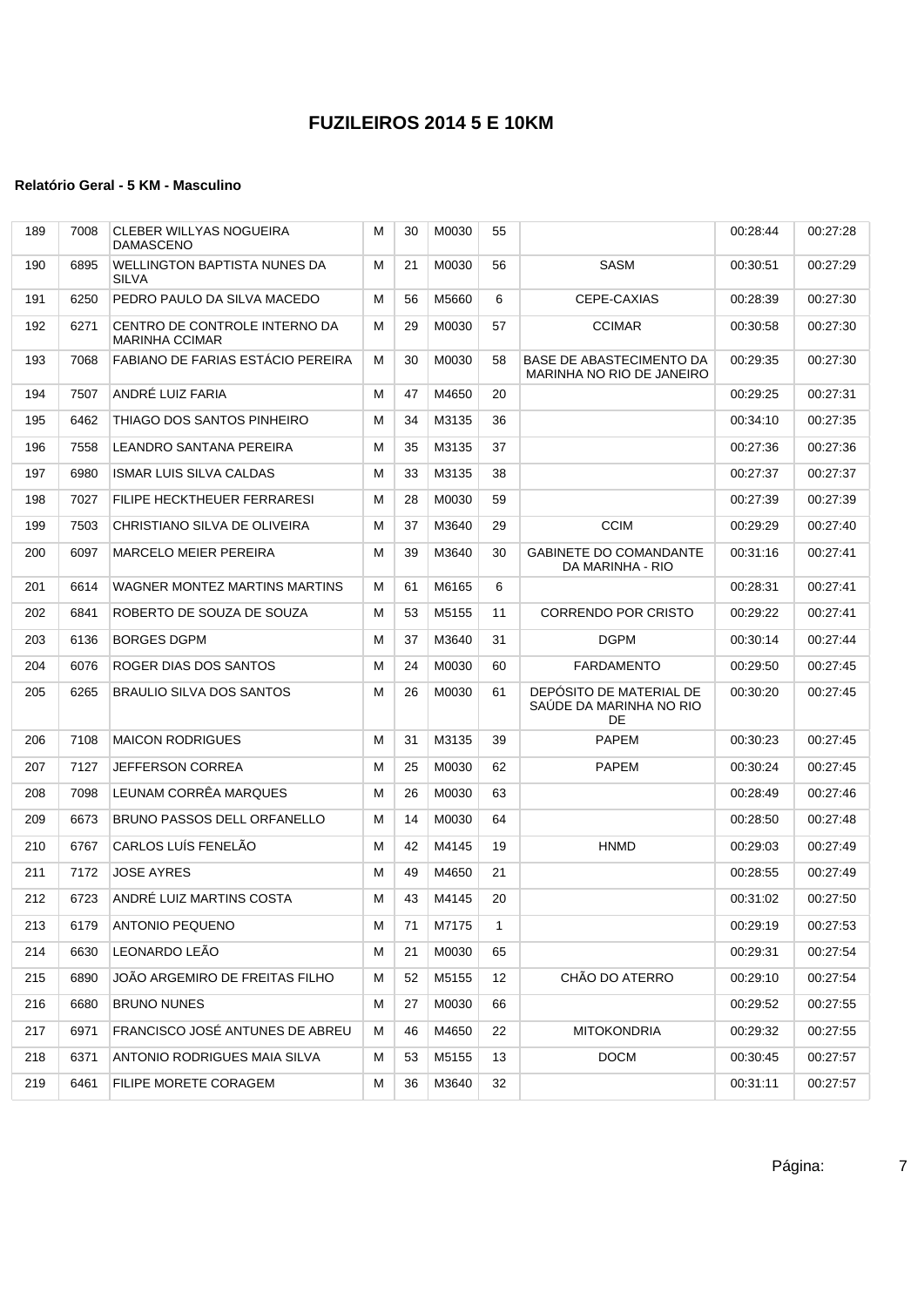| 189 | 7008 | CLEBER WILLYAS NOGUEIRA<br><b>DAMASCENO</b>            | м | 30 | M0030 | 55           |                                                          | 00:28:44 | 00:27:28 |
|-----|------|--------------------------------------------------------|---|----|-------|--------------|----------------------------------------------------------|----------|----------|
| 190 | 6895 | WELLINGTON BAPTISTA NUNES DA<br><b>SILVA</b>           | М | 21 | M0030 | 56           | <b>SASM</b>                                              | 00:30:51 | 00:27:29 |
| 191 | 6250 | PEDRO PAULO DA SILVA MACEDO                            | м | 56 | M5660 | 6            | CEPE-CAXIAS                                              | 00:28:39 | 00:27:30 |
| 192 | 6271 | CENTRO DE CONTROLE INTERNO DA<br><b>MARINHA CCIMAR</b> | м | 29 | M0030 | 57           | <b>CCIMAR</b>                                            | 00:30:58 | 00:27:30 |
| 193 | 7068 | <b>FABIANO DE FARIAS ESTÁCIO PEREIRA</b>               | м | 30 | M0030 | 58           | BASE DE ABASTECIMENTO DA<br>MARINHA NO RIO DE JANEIRO    | 00:29:35 | 00:27:30 |
| 194 | 7507 | ANDRÉ LUIZ FARIA                                       | м | 47 | M4650 | 20           |                                                          | 00:29:25 | 00:27:31 |
| 195 | 6462 | THIAGO DOS SANTOS PINHEIRO                             | м | 34 | M3135 | 36           |                                                          | 00:34:10 | 00:27:35 |
| 196 | 7558 | LEANDRO SANTANA PEREIRA                                | м | 35 | M3135 | 37           |                                                          | 00:27:36 | 00:27:36 |
| 197 | 6980 | <b>ISMAR LUIS SILVA CALDAS</b>                         | м | 33 | M3135 | 38           |                                                          | 00:27:37 | 00:27:37 |
| 198 | 7027 | <b>FILIPE HECKTHEUER FERRARESI</b>                     | м | 28 | M0030 | 59           |                                                          | 00:27:39 | 00:27:39 |
| 199 | 7503 | CHRISTIANO SILVA DE OLIVEIRA                           | м | 37 | M3640 | 29           | <b>CCIM</b>                                              | 00:29:29 | 00:27:40 |
| 200 | 6097 | <b>MARCELO MEIER PEREIRA</b>                           | м | 39 | M3640 | 30           | <b>GABINETE DO COMANDANTE</b><br>DA MARINHA - RIO        | 00:31:16 | 00:27:41 |
| 201 | 6614 | WAGNER MONTEZ MARTINS MARTINS                          | м | 61 | M6165 | 6            |                                                          | 00:28:31 | 00:27:41 |
| 202 | 6841 | ROBERTO DE SOUZA DE SOUZA                              | м | 53 | M5155 | 11           | <b>CORRENDO POR CRISTO</b>                               | 00:29:22 | 00:27:41 |
| 203 | 6136 | <b>BORGES DGPM</b>                                     | м | 37 | M3640 | 31           | <b>DGPM</b>                                              | 00:30:14 | 00:27:44 |
| 204 | 6076 | ROGER DIAS DOS SANTOS                                  | м | 24 | M0030 | 60           | FARDAMENTO                                               | 00:29:50 | 00:27:45 |
| 205 | 6265 | BRAULIO SILVA DOS SANTOS                               | м | 26 | M0030 | 61           | DEPÓSITO DE MATERIAL DE<br>SAÚDE DA MARINHA NO RIO<br>DE | 00:30:20 | 00:27:45 |
| 206 | 7108 | <b>MAICON RODRIGUES</b>                                | м | 31 | M3135 | 39           | <b>PAPEM</b>                                             | 00:30:23 | 00:27:45 |
| 207 | 7127 | <b>JEFFERSON CORREA</b>                                | м | 25 | M0030 | 62           | <b>PAPEM</b>                                             | 00:30:24 | 00:27:45 |
| 208 | 7098 | LEUNAM CORRÊA MARQUES                                  | м | 26 | M0030 | 63           |                                                          | 00:28:49 | 00:27:46 |
| 209 | 6673 | BRUNO PASSOS DELL ORFANELLO                            | м | 14 | M0030 | 64           |                                                          | 00:28:50 | 00:27:48 |
| 210 | 6767 | <b>CARLOS LUÍS FENELÃO</b>                             | м | 42 | M4145 | 19           | <b>HNMD</b>                                              | 00:29:03 | 00:27:49 |
| 211 | 7172 | <b>JOSE AYRES</b>                                      | М | 49 | M4650 | 21           |                                                          | 00:28:55 | 00:27:49 |
| 212 | 6723 | ANDRÉ LUIZ MARTINS COSTA                               | м | 43 | M4145 | 20           |                                                          | 00:31:02 | 00:27:50 |
| 213 | 6179 | <b>ANTONIO PEQUENO</b>                                 | м | 71 | M7175 | $\mathbf{1}$ |                                                          | 00:29:19 | 00:27:53 |
| 214 | 6630 | LEONARDO LEÃO                                          | м | 21 | M0030 | 65           |                                                          | 00:29:31 | 00:27:54 |
| 215 | 6890 | JOÃO ARGEMIRO DE FREITAS FILHO                         | М | 52 | M5155 | 12           | CHÃO DO ATERRO                                           | 00:29:10 | 00:27:54 |
| 216 | 6680 | <b>BRUNO NUNES</b>                                     | M | 27 | M0030 | 66           |                                                          | 00:29:52 | 00:27:55 |
| 217 | 6971 | FRANCISCO JOSÉ ANTUNES DE ABREU                        | м | 46 | M4650 | 22           | <b>MITOKONDRIA</b>                                       | 00:29:32 | 00:27:55 |
| 218 | 6371 | ANTONIO RODRIGUES MAIA SILVA                           | м | 53 | M5155 | 13           | <b>DOCM</b>                                              | 00:30:45 | 00:27:57 |
| 219 | 6461 | FILIPE MORETE CORAGEM                                  | м | 36 | M3640 | 32           |                                                          | 00:31:11 | 00:27:57 |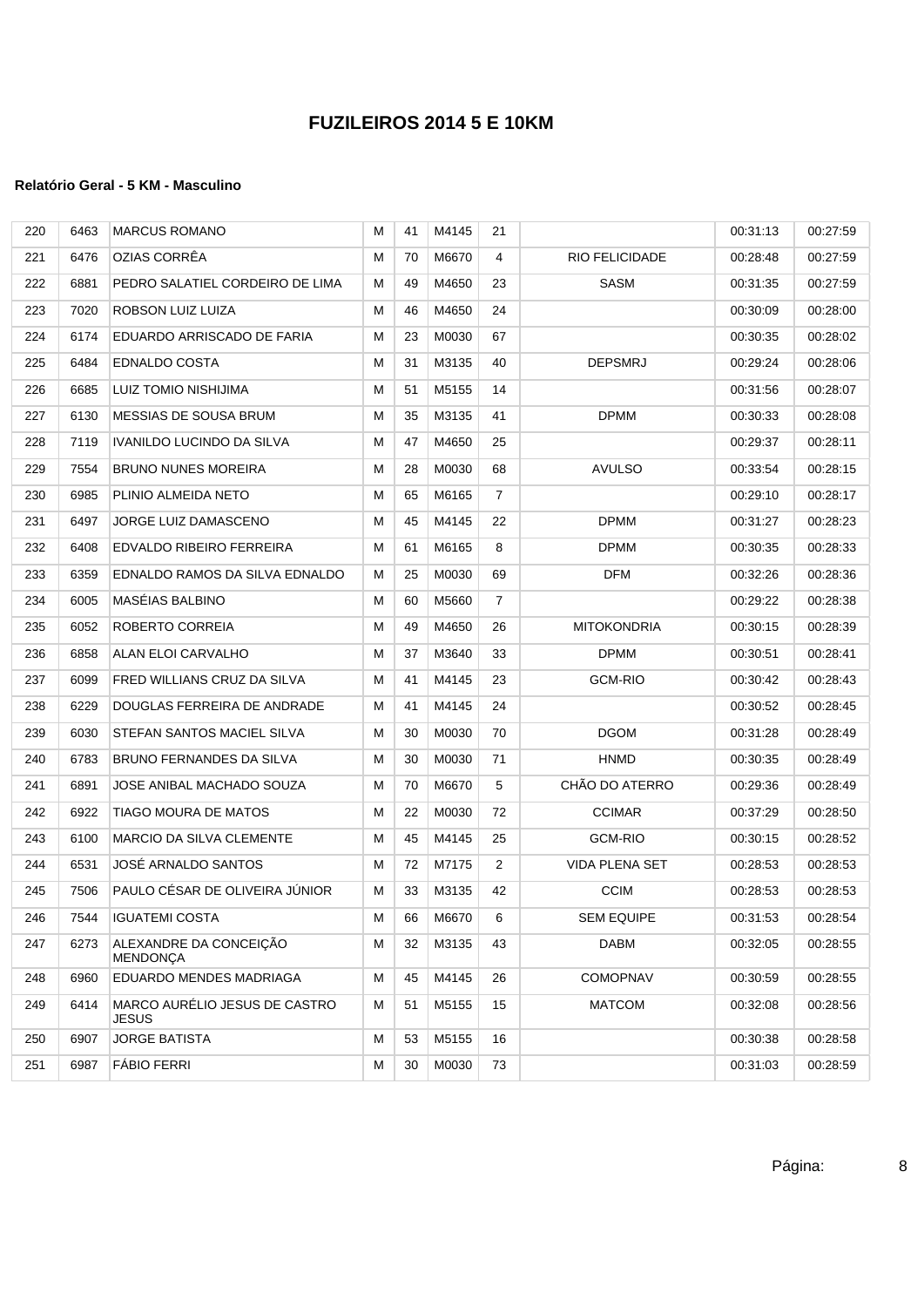| 220 | 6463 | <b>MARCUS ROMANO</b>                      | М | 41 | M4145    | 21             |                       | 00:31:13 | 00:27:59 |
|-----|------|-------------------------------------------|---|----|----------|----------------|-----------------------|----------|----------|
| 221 | 6476 | OZIAS CORRÊA                              | М | 70 | M6670    | $\overline{4}$ | RIO FELICIDADE        | 00:28:48 | 00:27:59 |
| 222 | 6881 | PEDRO SALATIEL CORDEIRO DE LIMA           | м | 49 | M4650    | 23             | SASM                  | 00:31:35 | 00:27:59 |
| 223 | 7020 | ROBSON LUIZ LUIZA                         | М | 46 | M4650    | 24             |                       | 00:30:09 | 00:28:00 |
| 224 | 6174 | EDUARDO ARRISCADO DE FARIA                | М | 23 | M0030    | 67             |                       | 00:30:35 | 00:28:02 |
| 225 | 6484 | EDNALDO COSTA                             | М | 31 | M3135    | 40             | <b>DEPSMRJ</b>        | 00:29:24 | 00:28:06 |
| 226 | 6685 | LUIZ TOMIO NISHIJIMA                      | М | 51 | M5155    | 14             |                       | 00:31:56 | 00:28:07 |
| 227 | 6130 | <b>MESSIAS DE SOUSA BRUM</b>              | М | 35 | M3135    | 41             | <b>DPMM</b>           | 00:30:33 | 00:28:08 |
| 228 | 7119 | IVANILDO LUCINDO DA SILVA                 | М | 47 | M4650    | 25             |                       | 00:29:37 | 00:28:11 |
| 229 | 7554 | <b>BRUNO NUNES MOREIRA</b>                | М | 28 | M0030    | 68             | <b>AVULSO</b>         | 00:33:54 | 00:28:15 |
| 230 | 6985 | PLINIO ALMEIDA NETO                       | М | 65 | M6165    | $\overline{7}$ |                       | 00:29:10 | 00:28:17 |
| 231 | 6497 | JORGE LUIZ DAMASCENO                      | М | 45 | M4145    | 22             | <b>DPMM</b>           | 00:31:27 | 00:28:23 |
| 232 | 6408 | EDVALDO RIBEIRO FERREIRA                  | М | 61 | M6165    | 8              | <b>DPMM</b>           | 00:30:35 | 00:28:33 |
| 233 | 6359 | EDNALDO RAMOS DA SILVA EDNALDO            | М | 25 | M0030    | 69             | <b>DFM</b>            | 00:32:26 | 00:28:36 |
| 234 | 6005 | MASÉIAS BALBINO                           | М | 60 | M5660    | $\overline{7}$ |                       | 00:29:22 | 00:28:38 |
| 235 | 6052 | ROBERTO CORREIA                           | М | 49 | M4650    | 26             | <b>MITOKONDRIA</b>    | 00:30:15 | 00:28:39 |
| 236 | 6858 | ALAN ELOI CARVALHO                        | М | 37 | M3640    | 33             | <b>DPMM</b>           | 00:30:51 | 00:28:41 |
| 237 | 6099 | FRED WILLIANS CRUZ DA SILVA               | М | 41 | M4145    | 23             | <b>GCM-RIO</b>        | 00:30:42 | 00:28:43 |
| 238 | 6229 | DOUGLAS FERREIRA DE ANDRADE               | М | 41 | M4145    | 24             |                       | 00:30:52 | 00:28:45 |
| 239 | 6030 | STEFAN SANTOS MACIEL SILVA                | М | 30 | M0030    | 70             | <b>DGOM</b>           | 00:31:28 | 00:28:49 |
| 240 | 6783 | BRUNO FERNANDES DA SILVA                  | М | 30 | M0030    | 71             | <b>HNMD</b>           | 00:30:35 | 00:28:49 |
| 241 | 6891 | JOSE ANIBAL MACHADO SOUZA                 | М | 70 | M6670    | 5              | CHÃO DO ATERRO        | 00:29:36 | 00:28:49 |
| 242 | 6922 | TIAGO MOURA DE MATOS                      | М | 22 | M0030    | 72             | <b>CCIMAR</b>         | 00:37:29 | 00:28:50 |
| 243 | 6100 | MARCIO DA SILVA CLEMENTE                  | М | 45 | M4145    | 25             | <b>GCM-RIO</b>        | 00:30:15 | 00:28:52 |
| 244 | 6531 | JOSÉ ARNALDO SANTOS                       | м | 72 | M7175    | 2              | <b>VIDA PLENA SET</b> | 00:28:53 | 00:28:53 |
| 245 | 7506 | PAULO CÉSAR DE OLIVEIRA JUNIOR            | м | 33 | M3135    | 42             | <b>CCIM</b>           | 00:28:53 | 00:28:53 |
| 246 |      | 7544   IGUATEMI COSTA                     | M |    | 66 M6670 | 6              | <b>SEM EQUIPE</b>     | 00:31:53 | 00:28:54 |
| 247 | 6273 | ALEXANDRE DA CONCEIÇÃO<br><b>MENDONÇA</b> | М | 32 | M3135    | 43             | DABM                  | 00:32:05 | 00:28:55 |
| 248 | 6960 | EDUARDO MENDES MADRIAGA                   | М | 45 | M4145    | 26             | <b>COMOPNAV</b>       | 00:30:59 | 00:28:55 |
| 249 | 6414 | MARCO AURÉLIO JESUS DE CASTRO<br>JESUS    | М | 51 | M5155    | 15             | <b>MATCOM</b>         | 00:32:08 | 00:28:56 |
| 250 | 6907 | <b>JORGE BATISTA</b>                      | М | 53 | M5155    | 16             |                       | 00:30:38 | 00:28:58 |
| 251 | 6987 | <b>FÁBIO FERRI</b>                        | М | 30 | M0030    | 73             |                       | 00:31:03 | 00:28:59 |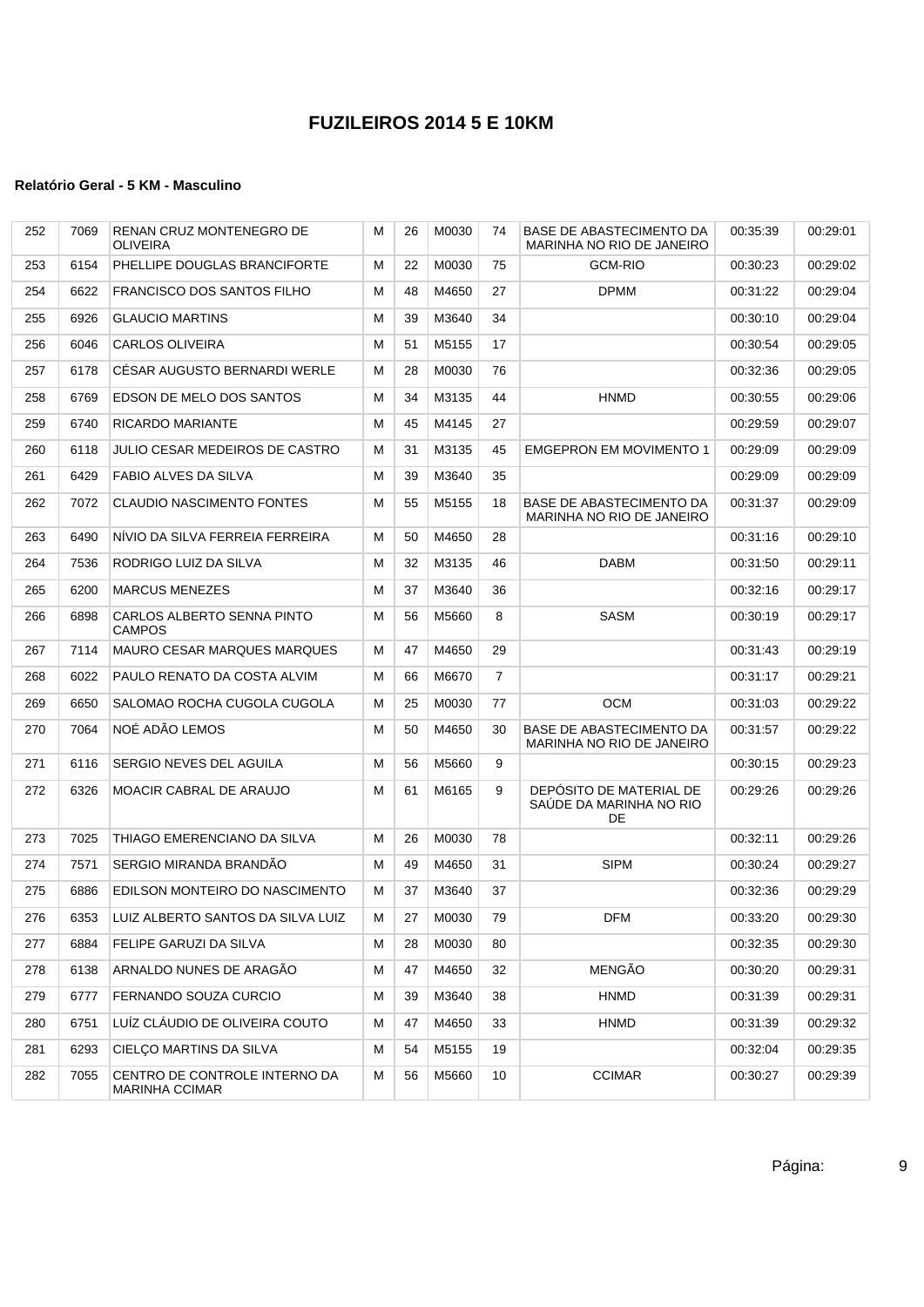| 252 | 7069 | RENAN CRUZ MONTENEGRO DE<br><b>OLIVEIRA</b>            | М | 26 | M0030 | 74             | BASE DE ABASTECIMENTO DA<br>MARINHA NO RIO DE JANEIRO    | 00:35:39 | 00:29:01 |
|-----|------|--------------------------------------------------------|---|----|-------|----------------|----------------------------------------------------------|----------|----------|
| 253 | 6154 | PHELLIPE DOUGLAS BRANCIFORTE                           | М | 22 | M0030 | 75             | <b>GCM-RIO</b>                                           | 00:30:23 | 00:29:02 |
| 254 | 6622 | <b>FRANCISCO DOS SANTOS FILHO</b>                      | M | 48 | M4650 | 27             | <b>DPMM</b>                                              | 00:31:22 | 00:29:04 |
| 255 | 6926 | <b>GLAUCIO MARTINS</b>                                 | М | 39 | M3640 | 34             |                                                          | 00:30:10 | 00:29:04 |
| 256 | 6046 | <b>CARLOS OLIVEIRA</b>                                 | М | 51 | M5155 | 17             |                                                          | 00:30:54 | 00:29:05 |
| 257 | 6178 | CÉSAR AUGUSTO BERNARDI WERLE                           | М | 28 | M0030 | 76             |                                                          | 00:32:36 | 00:29:05 |
| 258 | 6769 | EDSON DE MELO DOS SANTOS                               | М | 34 | M3135 | 44             | <b>HNMD</b>                                              | 00:30:55 | 00:29:06 |
| 259 | 6740 | RICARDO MARIANTE                                       | М | 45 | M4145 | 27             |                                                          | 00:29:59 | 00:29:07 |
| 260 | 6118 | <b>JULIO CESAR MEDEIROS DE CASTRO</b>                  | М | 31 | M3135 | 45             | <b>EMGEPRON EM MOVIMENTO 1</b>                           | 00:29:09 | 00:29:09 |
| 261 | 6429 | FABIO ALVES DA SILVA                                   | М | 39 | M3640 | 35             |                                                          | 00:29:09 | 00:29:09 |
| 262 | 7072 | <b>CLAUDIO NASCIMENTO FONTES</b>                       | М | 55 | M5155 | 18             | BASE DE ABASTECIMENTO DA<br>MARINHA NO RIO DE JANEIRO    | 00:31:37 | 00:29:09 |
| 263 | 6490 | NIVIO DA SILVA FERREIA FERREIRA                        | М | 50 | M4650 | 28             |                                                          | 00:31:16 | 00:29:10 |
| 264 | 7536 | RODRIGO LUIZ DA SILVA                                  | М | 32 | M3135 | 46             | <b>DABM</b>                                              | 00:31:50 | 00:29:11 |
| 265 | 6200 | <b>MARCUS MENEZES</b>                                  | М | 37 | M3640 | 36             |                                                          | 00:32:16 | 00:29:17 |
| 266 | 6898 | CARLOS ALBERTO SENNA PINTO<br><b>CAMPOS</b>            | М | 56 | M5660 | 8              | <b>SASM</b>                                              | 00:30:19 | 00:29:17 |
| 267 | 7114 | <b>MAURO CESAR MARQUES MARQUES</b>                     | М | 47 | M4650 | 29             |                                                          | 00:31:43 | 00:29:19 |
| 268 | 6022 | PAULO RENATO DA COSTA ALVIM                            | М | 66 | M6670 | $\overline{7}$ |                                                          | 00:31:17 | 00:29:21 |
| 269 | 6650 | SALOMAO ROCHA CUGOLA CUGOLA                            | М | 25 | M0030 | 77             | <b>OCM</b>                                               | 00:31:03 | 00:29:22 |
| 270 | 7064 | NOÉ ADÃO LEMOS                                         | М | 50 | M4650 | 30             | BASE DE ABASTECIMENTO DA<br>MARINHA NO RIO DE JANEIRO    | 00:31:57 | 00:29:22 |
| 271 | 6116 | SERGIO NEVES DEL AGUILA                                | М | 56 | M5660 | 9              |                                                          | 00:30:15 | 00:29:23 |
| 272 | 6326 | MOACIR CABRAL DE ARAUJO                                | М | 61 | M6165 | 9              | DEPÓSITO DE MATERIAL DE<br>SAUDE DA MARINHA NO RIO<br>DE | 00:29:26 | 00:29:26 |
| 273 | 7025 | THIAGO EMERENCIANO DA SILVA                            | М | 26 | M0030 | 78             |                                                          | 00:32:11 | 00:29:26 |
| 274 | 7571 | <b>SERGIO MIRANDA BRANDAO</b>                          | М | 49 | M4650 | 31             | <b>SIPM</b>                                              | 00:30:24 | 00:29:27 |
| 275 | 6886 | EDILSON MONTEIRO DO NASCIMENTO                         | М | 37 | M3640 | 37             |                                                          | 00:32:36 | 00:29:29 |
| 276 |      | 6353 LUIZ ALBERTO SANTOS DA SILVA LUIZ                 | M | 27 | M0030 | 79             | <b>DFM</b>                                               | 00:33:20 | 00:29:30 |
| 277 | 6884 | FELIPE GARUZI DA SILVA                                 | м | 28 | M0030 | 80             |                                                          | 00:32:35 | 00:29:30 |
| 278 | 6138 | ARNALDO NUNES DE ARAGÃO                                | М | 47 | M4650 | 32             | MENGÃO                                                   | 00:30:20 | 00:29:31 |
| 279 | 6777 | FERNANDO SOUZA CURCIO                                  | М | 39 | M3640 | 38             | <b>HNMD</b>                                              | 00:31:39 | 00:29:31 |
| 280 | 6751 | LUÍZ CLÁUDIO DE OLIVEIRA COUTO                         | М | 47 | M4650 | 33             | <b>HNMD</b>                                              | 00:31:39 | 00:29:32 |
| 281 | 6293 | CIELÇO MARTINS DA SILVA                                | М | 54 | M5155 | 19             |                                                          | 00:32:04 | 00:29:35 |
| 282 | 7055 | CENTRO DE CONTROLE INTERNO DA<br><b>MARINHA CCIMAR</b> | м | 56 | M5660 | 10             | <b>CCIMAR</b>                                            | 00:30:27 | 00:29:39 |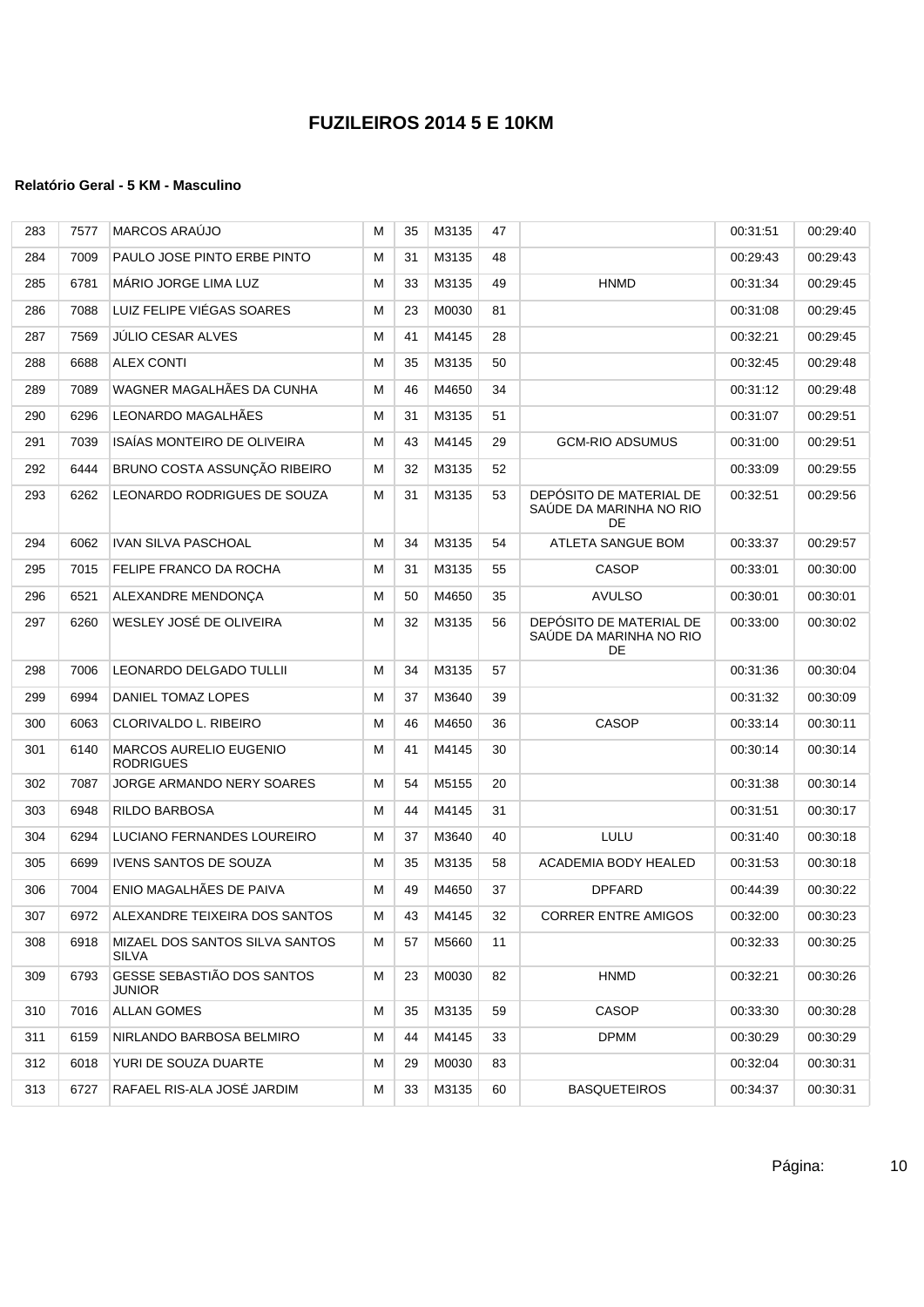| 283 | 7577 | <b>MARCOS ARAUJO</b>                              | М | 35 | M3135 | 47 |                                                          | 00:31:51 | 00:29:40 |
|-----|------|---------------------------------------------------|---|----|-------|----|----------------------------------------------------------|----------|----------|
| 284 | 7009 | PAULO JOSE PINTO ERBE PINTO                       | М | 31 | M3135 | 48 |                                                          | 00:29:43 | 00:29:43 |
| 285 | 6781 | <b>MARIO JORGE LIMA LUZ</b>                       | М | 33 | M3135 | 49 | <b>HNMD</b>                                              | 00:31:34 | 00:29:45 |
| 286 | 7088 | LUIZ FELIPE VIÉGAS SOARES                         | М | 23 | M0030 | 81 |                                                          | 00:31:08 | 00:29:45 |
| 287 | 7569 | JÚLIO CESAR ALVES                                 | М | 41 | M4145 | 28 |                                                          | 00:32:21 | 00:29:45 |
| 288 | 6688 | <b>ALEX CONTI</b>                                 | М | 35 | M3135 | 50 |                                                          | 00:32:45 | 00:29:48 |
| 289 | 7089 | WAGNER MAGALHÃES DA CUNHA                         | М | 46 | M4650 | 34 |                                                          | 00:31:12 | 00:29:48 |
| 290 | 6296 | LEONARDO MAGALHÃES                                | М | 31 | M3135 | 51 |                                                          | 00:31:07 | 00:29:51 |
| 291 | 7039 | ISAÍAS MONTEIRO DE OLIVEIRA                       | М | 43 | M4145 | 29 | <b>GCM-RIO ADSUMUS</b>                                   | 00:31:00 | 00:29:51 |
| 292 | 6444 | BRUNO COSTA ASSUNÇÃO RIBEIRO                      | М | 32 | M3135 | 52 |                                                          | 00:33:09 | 00:29:55 |
| 293 | 6262 | LEONARDO RODRIGUES DE SOUZA                       | М | 31 | M3135 | 53 | DEPÓSITO DE MATERIAL DE<br>SAÚDE DA MARINHA NO RIO<br>DE | 00:32:51 | 00:29:56 |
| 294 | 6062 | <b>IVAN SILVA PASCHOAL</b>                        | М | 34 | M3135 | 54 | ATLETA SANGUE BOM                                        | 00:33:37 | 00:29:57 |
| 295 | 7015 | FELIPE FRANCO DA ROCHA                            | M | 31 | M3135 | 55 | CASOP                                                    | 00:33:01 | 00:30:00 |
| 296 | 6521 | ALEXANDRE MENDONÇA                                | М | 50 | M4650 | 35 | <b>AVULSO</b>                                            | 00:30:01 | 00:30:01 |
| 297 | 6260 | WESLEY JOSÉ DE OLIVEIRA                           | М | 32 | M3135 | 56 | DEPÓSITO DE MATERIAL DE<br>SAÚDE DA MARINHA NO RIO<br>DE | 00:33:00 | 00:30:02 |
| 298 | 7006 | <b>LEONARDO DELGADO TULLII</b>                    | М | 34 | M3135 | 57 |                                                          | 00:31:36 | 00:30:04 |
| 299 | 6994 | DANIEL TOMAZ LOPES                                | М | 37 | M3640 | 39 |                                                          | 00:31:32 | 00:30:09 |
| 300 | 6063 | CLORIVALDO L. RIBEIRO                             | М | 46 | M4650 | 36 | <b>CASOP</b>                                             | 00:33:14 | 00:30:11 |
| 301 | 6140 | <b>MARCOS AURELIO EUGENIO</b><br><b>RODRIGUES</b> | М | 41 | M4145 | 30 |                                                          | 00:30:14 | 00:30:14 |
| 302 | 7087 | JORGE ARMANDO NERY SOARES                         | M | 54 | M5155 | 20 |                                                          | 00:31:38 | 00:30:14 |
| 303 | 6948 | RILDO BARBOSA                                     | М | 44 | M4145 | 31 |                                                          | 00:31:51 | 00:30:17 |
| 304 | 6294 | LUCIANO FERNANDES LOUREIRO                        | М | 37 | M3640 | 40 | LULU                                                     | 00:31:40 | 00:30:18 |
| 305 | 6699 | <b>IVENS SANTOS DE SOUZA</b>                      | М | 35 | M3135 | 58 | <b>ACADEMIA BODY HEALED</b>                              | 00:31:53 | 00:30:18 |
| 306 | 7004 | ENIO MAGALHÃES DE PAIVA                           | М | 49 | M4650 | 37 | <b>DPFARD</b>                                            | 00:44:39 | 00:30:22 |
| 307 | 6972 | ALEXANDRE TEIXEIRA DOS SANTOS                     | M | 43 | M4145 | 32 | <b>CORRER ENTRE AMIGOS</b>                               | 00:32:00 | 00:30:23 |
| 308 | 6918 | MIZAEL DOS SANTOS SILVA SANTOS<br><b>SILVA</b>    | M | 57 | M5660 | 11 |                                                          | 00:32:33 | 00:30:25 |
| 309 | 6793 | GESSE SEBASTIÃO DOS SANTOS<br>JUNIOR              | М | 23 | M0030 | 82 | <b>HNMD</b>                                              | 00:32:21 | 00:30:26 |
| 310 | 7016 | ALLAN GOMES                                       | М | 35 | M3135 | 59 | <b>CASOP</b>                                             | 00:33:30 | 00:30:28 |
| 311 | 6159 | NIRLANDO BARBOSA BELMIRO                          | М | 44 | M4145 | 33 | <b>DPMM</b>                                              | 00:30:29 | 00:30:29 |
| 312 | 6018 | YURI DE SOUZA DUARTE                              | M | 29 | M0030 | 83 |                                                          | 00:32:04 | 00:30:31 |
| 313 | 6727 | RAFAEL RIS-ALA JOSÉ JARDIM                        | М | 33 | M3135 | 60 | <b>BASQUETEIROS</b>                                      | 00:34:37 | 00:30:31 |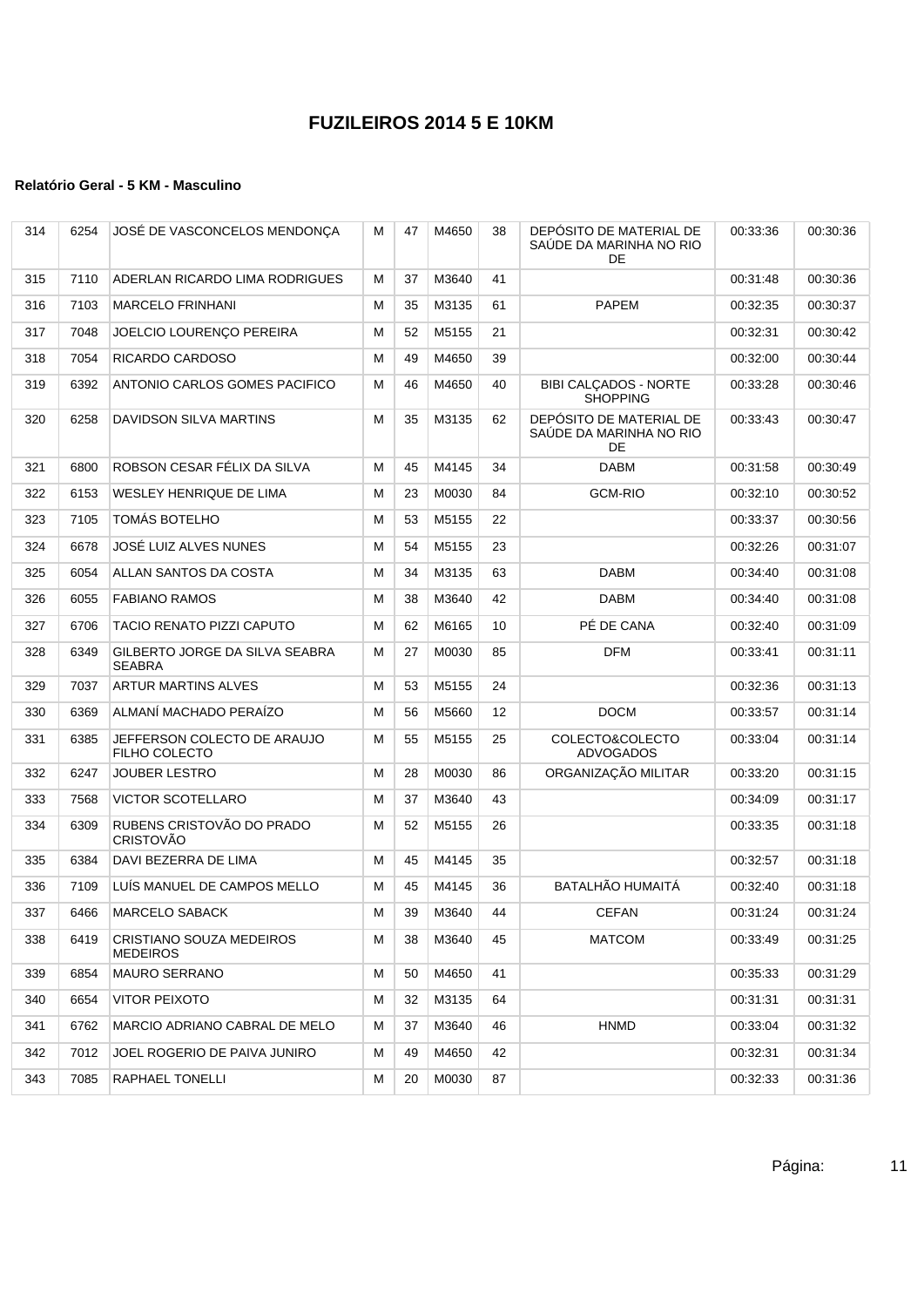| 314 | 6254 | JOSÉ DE VASCONCELOS MENDONÇA                        | М | 47 | M4650 | 38 | DEPÓSITO DE MATERIAL DE<br>SAÚDE DA MARINHA NO RIO<br>DE | 00:33:36 | 00:30:36 |
|-----|------|-----------------------------------------------------|---|----|-------|----|----------------------------------------------------------|----------|----------|
| 315 | 7110 | ADERLAN RICARDO LIMA RODRIGUES                      | М | 37 | M3640 | 41 |                                                          | 00:31:48 | 00:30:36 |
| 316 | 7103 | <b>MARCELO FRINHANI</b>                             | М | 35 | M3135 | 61 | <b>PAPEM</b>                                             | 00:32:35 | 00:30:37 |
| 317 | 7048 | JOELCIO LOURENÇO PEREIRA                            | М | 52 | M5155 | 21 |                                                          | 00:32:31 | 00:30:42 |
| 318 | 7054 | RICARDO CARDOSO                                     | M | 49 | M4650 | 39 |                                                          | 00:32:00 | 00:30:44 |
| 319 | 6392 | ANTONIO CARLOS GOMES PACIFICO                       | М | 46 | M4650 | 40 | <b>BIBI CALCADOS - NORTE</b><br><b>SHOPPING</b>          | 00:33:28 | 00:30:46 |
| 320 | 6258 | <b>DAVIDSON SILVA MARTINS</b>                       | M | 35 | M3135 | 62 | DEPÓSITO DE MATERIAL DE<br>SAÚDE DA MARINHA NO RIO<br>DE | 00:33:43 | 00:30:47 |
| 321 | 6800 | ROBSON CESAR FÉLIX DA SILVA                         | М | 45 | M4145 | 34 | DABM                                                     | 00:31:58 | 00:30:49 |
| 322 | 6153 | WESLEY HENRIQUE DE LIMA                             | M | 23 | M0030 | 84 | <b>GCM-RIO</b>                                           | 00:32:10 | 00:30:52 |
| 323 | 7105 | TOMÁS BOTELHO                                       | M | 53 | M5155 | 22 |                                                          | 00:33:37 | 00:30:56 |
| 324 | 6678 | JOSÉ LUIZ ALVES NUNES                               | M | 54 | M5155 | 23 |                                                          | 00:32:26 | 00:31:07 |
| 325 | 6054 | ALLAN SANTOS DA COSTA                               | M | 34 | M3135 | 63 | <b>DABM</b>                                              | 00:34:40 | 00:31:08 |
| 326 | 6055 | <b>FABIANO RAMOS</b>                                | M | 38 | M3640 | 42 | DABM                                                     | 00:34:40 | 00:31:08 |
| 327 | 6706 | TACIO RENATO PIZZI CAPUTO                           | M | 62 | M6165 | 10 | PÉ DE CANA                                               | 00:32:40 | 00:31:09 |
| 328 | 6349 | GILBERTO JORGE DA SILVA SEABRA<br><b>SEABRA</b>     | M | 27 | M0030 | 85 | <b>DFM</b>                                               | 00:33:41 | 00:31:11 |
| 329 | 7037 | <b>ARTUR MARTINS ALVES</b>                          | M | 53 | M5155 | 24 |                                                          | 00:32:36 | 00:31:13 |
| 330 | 6369 | ALMANÍ MACHADO PERAÍZO                              | M | 56 | M5660 | 12 | <b>DOCM</b>                                              | 00:33:57 | 00:31:14 |
| 331 | 6385 | JEFFERSON COLECTO DE ARAUJO<br><b>FILHO COLECTO</b> | M | 55 | M5155 | 25 | COLECTO&COLECTO<br><b>ADVOGADOS</b>                      | 00:33:04 | 00:31:14 |
| 332 | 6247 | <b>JOUBER LESTRO</b>                                | M | 28 | M0030 | 86 | ORGANIZAÇÃO MILITAR                                      | 00:33:20 | 00:31:15 |
| 333 | 7568 | <b>VICTOR SCOTELLARO</b>                            | M | 37 | M3640 | 43 |                                                          | 00:34:09 | 00:31:17 |
| 334 | 6309 | RUBENS CRISTOVÃO DO PRADO<br><b>CRISTOVÃO</b>       | M | 52 | M5155 | 26 |                                                          | 00:33:35 | 00:31:18 |
| 335 | 6384 | DAVI BEZERRA DE LIMA                                | M | 45 | M4145 | 35 |                                                          | 00:32:57 | 00:31:18 |
| 336 | 7109 | LUÍS MANUEL DE CAMPOS MELLO                         | M | 45 | M4145 | 36 | <b>BATALHÃO HUMAITÁ</b>                                  | 00:32:40 | 00:31:18 |
| 337 | 6466 | <b>MARCELO SABACK</b>                               | M | 39 | M3640 | 44 | <b>CEFAN</b>                                             | 00:31:24 | 00:31:24 |
| 338 | 6419 | CRISTIANO SOUZA MEDEIROS<br><b>MEDEIROS</b>         | м | 38 | M3640 | 45 | <b>MATCOM</b>                                            | 00:33:49 | 00:31:25 |
| 339 | 6854 | <b>MAURO SERRANO</b>                                | М | 50 | M4650 | 41 |                                                          | 00:35:33 | 00:31:29 |
| 340 | 6654 | <b>VITOR PEIXOTO</b>                                | M | 32 | M3135 | 64 |                                                          | 00:31:31 | 00:31:31 |
| 341 | 6762 | MARCIO ADRIANO CABRAL DE MELO                       | M | 37 | M3640 | 46 | <b>HNMD</b>                                              | 00:33:04 | 00:31:32 |
| 342 | 7012 | JOEL ROGERIO DE PAIVA JUNIRO                        | M | 49 | M4650 | 42 |                                                          | 00:32:31 | 00:31:34 |
| 343 | 7085 | RAPHAEL TONELLI                                     | м | 20 | M0030 | 87 |                                                          | 00:32:33 | 00:31:36 |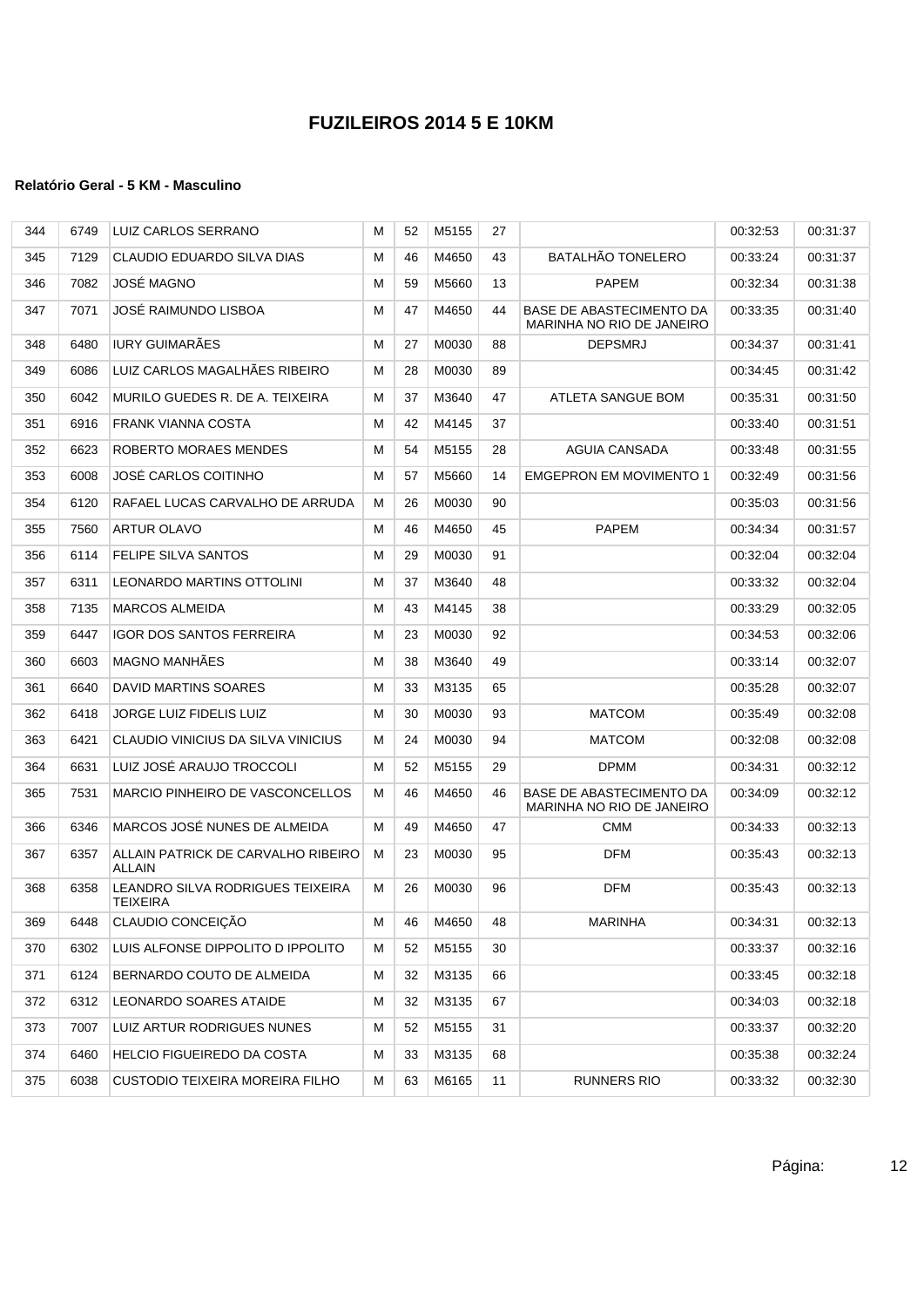| 344 | 6749 | LUIZ CARLOS SERRANO                                 | м | 52 | M5155 | 27 |                                                       | 00:32:53 | 00:31:37 |
|-----|------|-----------------------------------------------------|---|----|-------|----|-------------------------------------------------------|----------|----------|
| 345 | 7129 | CLAUDIO EDUARDO SILVA DIAS                          | м | 46 | M4650 | 43 | <b>BATALHÃO TONELERO</b>                              | 00:33:24 | 00:31:37 |
| 346 | 7082 | <b>JOSÉ MAGNO</b>                                   | м | 59 | M5660 | 13 | <b>PAPEM</b>                                          | 00:32:34 | 00:31:38 |
| 347 | 7071 | JOSÉ RAIMUNDO LISBOA                                | м | 47 | M4650 | 44 | BASE DE ABASTECIMENTO DA<br>MARINHA NO RIO DE JANEIRO | 00:33:35 | 00:31:40 |
| 348 | 6480 | <b>IURY GUIMARÃES</b>                               | м | 27 | M0030 | 88 | <b>DEPSMRJ</b>                                        | 00:34:37 | 00:31:41 |
| 349 | 6086 | LUIZ CARLOS MAGALHÃES RIBEIRO                       | М | 28 | M0030 | 89 |                                                       | 00:34:45 | 00:31:42 |
| 350 | 6042 | MURILO GUEDES R. DE A. TEIXEIRA                     | м | 37 | M3640 | 47 | ATLETA SANGUE BOM                                     | 00:35:31 | 00:31:50 |
| 351 | 6916 | <b>FRANK VIANNA COSTA</b>                           | м | 42 | M4145 | 37 |                                                       | 00:33:40 | 00:31:51 |
| 352 | 6623 | ROBERTO MORAES MENDES                               | м | 54 | M5155 | 28 | AGUIA CANSADA                                         | 00:33:48 | 00:31:55 |
| 353 | 6008 | <b>JOSE CARLOS COITINHO</b>                         | М | 57 | M5660 | 14 | <b>EMGEPRON EM MOVIMENTO 1</b>                        | 00:32:49 | 00:31:56 |
| 354 | 6120 | RAFAEL LUCAS CARVALHO DE ARRUDA                     | м | 26 | M0030 | 90 |                                                       | 00:35:03 | 00:31:56 |
| 355 | 7560 | <b>ARTUR OLAVO</b>                                  | м | 46 | M4650 | 45 | <b>PAPEM</b>                                          | 00:34:34 | 00:31:57 |
| 356 | 6114 | FELIPE SILVA SANTOS                                 | М | 29 | M0030 | 91 |                                                       | 00:32:04 | 00:32:04 |
| 357 | 6311 | LEONARDO MARTINS OTTOLINI                           | м | 37 | M3640 | 48 |                                                       | 00:33:32 | 00:32:04 |
| 358 | 7135 | <b>MARCOS ALMEIDA</b>                               | м | 43 | M4145 | 38 |                                                       | 00:33:29 | 00:32:05 |
| 359 | 6447 | <b>IGOR DOS SANTOS FERREIRA</b>                     | М | 23 | M0030 | 92 |                                                       | 00:34:53 | 00:32:06 |
| 360 | 6603 | <b>MAGNO MANHÄES</b>                                | М | 38 | M3640 | 49 |                                                       | 00:33:14 | 00:32:07 |
| 361 | 6640 | DAVID MARTINS SOARES                                | м | 33 | M3135 | 65 |                                                       | 00:35:28 | 00:32:07 |
| 362 | 6418 | <b>JORGE LUIZ FIDELIS LUIZ</b>                      | м | 30 | M0030 | 93 | <b>MATCOM</b>                                         | 00:35:49 | 00:32:08 |
| 363 | 6421 | CLAUDIO VINICIUS DA SILVA VINICIUS                  | м | 24 | M0030 | 94 | <b>MATCOM</b>                                         | 00:32:08 | 00:32:08 |
| 364 | 6631 | LUIZ JOSÉ ARAUJO TROCCOLI                           | м | 52 | M5155 | 29 | <b>DPMM</b>                                           | 00:34:31 | 00:32:12 |
| 365 | 7531 | MARCIO PINHEIRO DE VASCONCELLOS                     | м | 46 | M4650 | 46 | BASE DE ABASTECIMENTO DA<br>MARINHA NO RIO DE JANEIRO | 00:34:09 | 00:32:12 |
| 366 | 6346 | MARCOS JOSÉ NUNES DE ALMEIDA                        | м | 49 | M4650 | 47 | <b>CMM</b>                                            | 00:34:33 | 00:32:13 |
| 367 | 6357 | ALLAIN PATRICK DE CARVALHO RIBEIRO<br><b>ALLAIN</b> | м | 23 | M0030 | 95 | <b>DFM</b>                                            | 00:35:43 | 00:32:13 |
| 368 | 6358 | LEANDRO SILVA RODRIGUES TEIXEIRA<br><b>TEIXEIRA</b> | м | 26 | M0030 | 96 | <b>DFM</b>                                            | 00:35:43 | 00:32:13 |
| 369 | 6448 | CLAUDIO CONCEIÇÃO                                   | м | 46 | M4650 | 48 | MARINHA                                               | 00:34:31 | 00:32:13 |
| 370 | 6302 | LUIS ALFONSE DIPPOLITO D IPPOLITO                   | м | 52 | M5155 | 30 |                                                       | 00:33:37 | 00:32:16 |
| 371 | 6124 | BERNARDO COUTO DE ALMEIDA                           | м | 32 | M3135 | 66 |                                                       | 00:33:45 | 00:32:18 |
| 372 | 6312 | LEONARDO SOARES ATAIDE                              | м | 32 | M3135 | 67 |                                                       | 00:34:03 | 00:32:18 |
| 373 | 7007 | LUIZ ARTUR RODRIGUES NUNES                          | м | 52 | M5155 | 31 |                                                       | 00:33:37 | 00:32:20 |
| 374 | 6460 | HELCIO FIGUEIREDO DA COSTA                          | M | 33 | M3135 | 68 |                                                       | 00:35:38 | 00:32:24 |
| 375 | 6038 | CUSTODIO TEIXEIRA MOREIRA FILHO                     | м | 63 | M6165 | 11 | RUNNERS RIO                                           | 00:33:32 | 00:32:30 |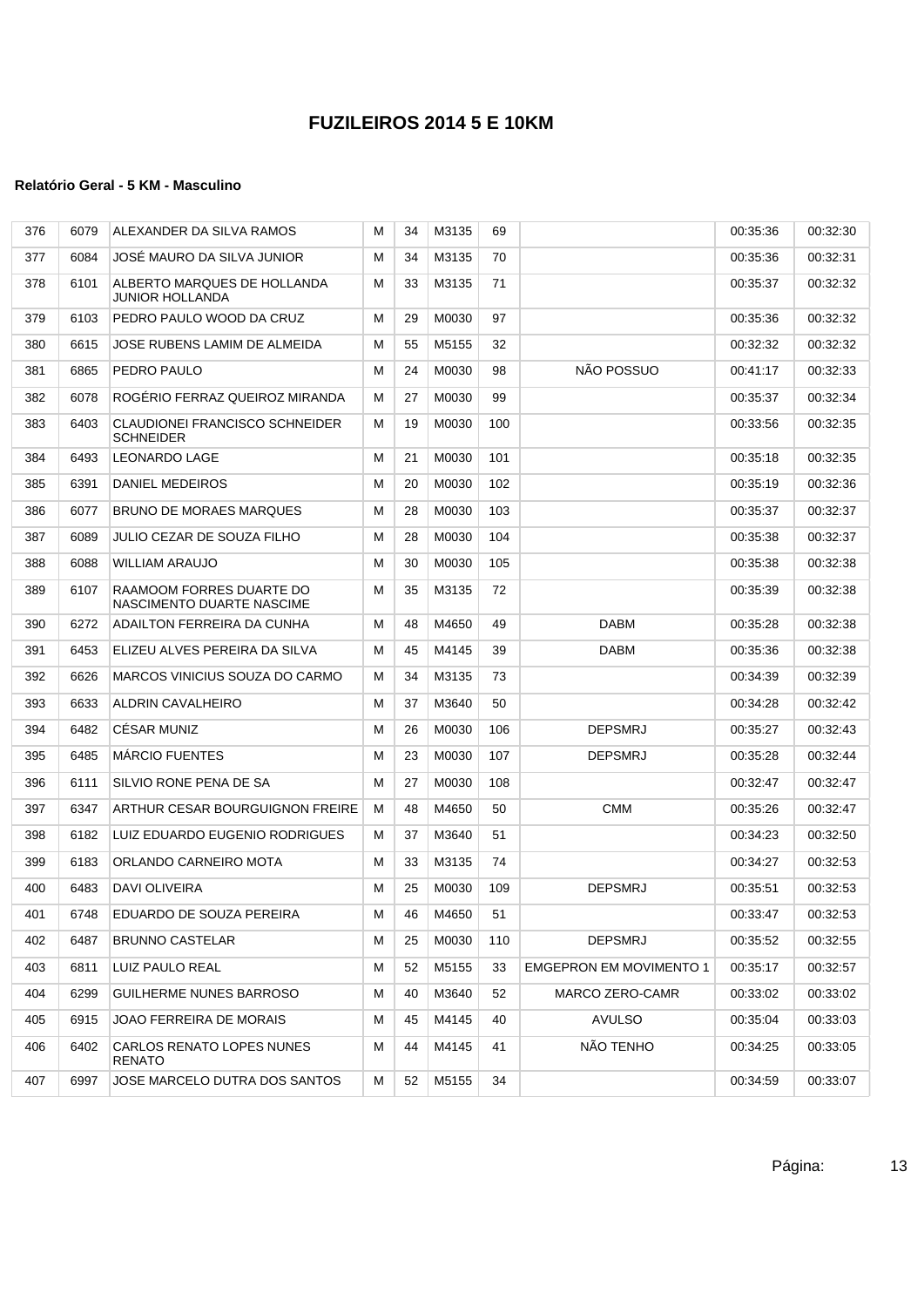| 376 | 6079 | ALEXANDER DA SILVA RAMOS                                  | м | 34 | M3135 | 69  |                                | 00:35:36 | 00:32:30 |
|-----|------|-----------------------------------------------------------|---|----|-------|-----|--------------------------------|----------|----------|
| 377 | 6084 | JOSE MAURO DA SILVA JUNIOR                                | м | 34 | M3135 | 70  |                                | 00:35:36 | 00:32:31 |
| 378 | 6101 | ALBERTO MARQUES DE HOLLANDA<br><b>JUNIOR HOLLANDA</b>     | м | 33 | M3135 | 71  |                                | 00.35.37 | 00:32:32 |
| 379 | 6103 | PEDRO PAULO WOOD DA CRUZ                                  | м | 29 | M0030 | 97  |                                | 00:35:36 | 00:32:32 |
| 380 | 6615 | JOSE RUBENS LAMIM DE ALMEIDA                              | М | 55 | M5155 | 32  |                                | 00:32:32 | 00:32:32 |
| 381 | 6865 | PEDRO PAULO                                               | M | 24 | M0030 | 98  | NÃO POSSUO                     | 00:41:17 | 00:32:33 |
| 382 | 6078 | ROGERIO FERRAZ QUEIROZ MIRANDA                            | М | 27 | M0030 | 99  |                                | 00:35:37 | 00:32:34 |
| 383 | 6403 | <b>CLAUDIONEI FRANCISCO SCHNEIDER</b><br><b>SCHNEIDER</b> | м | 19 | M0030 | 100 |                                | 00.33.56 | 00:32:35 |
| 384 | 6493 | <b>LEONARDO LAGE</b>                                      | М | 21 | M0030 | 101 |                                | 00:35:18 | 00:32:35 |
| 385 | 6391 | DANIEL MEDEIROS                                           | М | 20 | M0030 | 102 |                                | 00:35:19 | 00:32:36 |
| 386 | 6077 | BRUNO DE MORAES MARQUES                                   | М | 28 | M0030 | 103 |                                | 00:35:37 | 00:32:37 |
| 387 | 6089 | <b>JULIO CEZAR DE SOUZA FILHO</b>                         | м | 28 | M0030 | 104 |                                | 00:35:38 | 00:32:37 |
| 388 | 6088 | <b>WILLIAM ARAUJO</b>                                     | М | 30 | M0030 | 105 |                                | 00:35:38 | 00:32:38 |
| 389 | 6107 | RAAMOOM FORRES DUARTE DO<br>NASCIMENTO DUARTE NASCIME     | M | 35 | M3135 | 72  |                                | 00:35:39 | 00:32:38 |
| 390 | 6272 | ADAILTON FERREIRA DA CUNHA                                | м | 48 | M4650 | 49  | DABM                           | 00:35:28 | 00:32:38 |
| 391 | 6453 | ELIZEU ALVES PEREIRA DA SILVA                             | м | 45 | M4145 | 39  | DABM                           | 00:35:36 | 00:32:38 |
| 392 | 6626 | MARCOS VINICIUS SOUZA DO CARMO                            | м | 34 | M3135 | 73  |                                | 00:34:39 | 00:32:39 |
| 393 | 6633 | ALDRIN CAVALHEIRO                                         | М | 37 | M3640 | 50  |                                | 00:34:28 | 00:32:42 |
| 394 | 6482 | <b>CESAR MUNIZ</b>                                        | М | 26 | M0030 | 106 | <b>DEPSMRJ</b>                 | 00:35:27 | 00:32:43 |
| 395 | 6485 | <b>MARCIO FUENTES</b>                                     | М | 23 | M0030 | 107 | <b>DEPSMRJ</b>                 | 00:35:28 | 00:32:44 |
| 396 | 6111 | SILVIO RONE PENA DE SA                                    | M | 27 | M0030 | 108 |                                | 00:32:47 | 00:32:47 |
| 397 | 6347 | ARTHUR CESAR BOURGUIGNON FREIRE                           | м | 48 | M4650 | 50  | <b>CMM</b>                     | 00:35:26 | 00:32:47 |
| 398 | 6182 | LUIZ EDUARDO EUGENIO RODRIGUES                            | м | 37 | M3640 | 51  |                                | 00:34:23 | 00:32:50 |
| 399 | 6183 | ORLANDO CARNEIRO MOTA                                     | м | 33 | M3135 | 74  |                                | 00:34:27 | 00:32:53 |
| 400 | 6483 | DAVI OLIVEIRA                                             | М | 25 | M0030 | 109 | <b>DEPSMRJ</b>                 | 00:35:51 | 00:32:53 |
| 401 | 6748 | EDUARDO DE SOUZA PEREIRA                                  | M | 46 | M4650 | 51  |                                | 00:33:47 | 00:32:53 |
| 402 | 6487 | <b>BRUNNO CASTELAR</b>                                    | м | 25 | M0030 | 110 | <b>DEPSMRJ</b>                 | 00:35:52 | 00:32:55 |
| 403 | 6811 | LUIZ PAULO REAL                                           | М | 52 | M5155 | 33  | <b>EMGEPRON EM MOVIMENTO 1</b> | 00:35:17 | 00:32:57 |
| 404 | 6299 | GUILHERME NUNES BARROSO                                   | м | 40 | M3640 | 52  | MARCO ZERO-CAMR                | 00:33:02 | 00:33:02 |
| 405 | 6915 | JOAO FERREIRA DE MORAIS                                   | М | 45 | M4145 | 40  | <b>AVULSO</b>                  | 00:35:04 | 00:33:03 |
| 406 | 6402 | CARLOS RENATO LOPES NUNES<br><b>RENATO</b>                | М | 44 | M4145 | 41  | NÃO TENHO                      | 00:34:25 | 00:33:05 |
| 407 | 6997 | JOSE MARCELO DUTRA DOS SANTOS                             | М | 52 | M5155 | 34  |                                | 00:34:59 | 00:33:07 |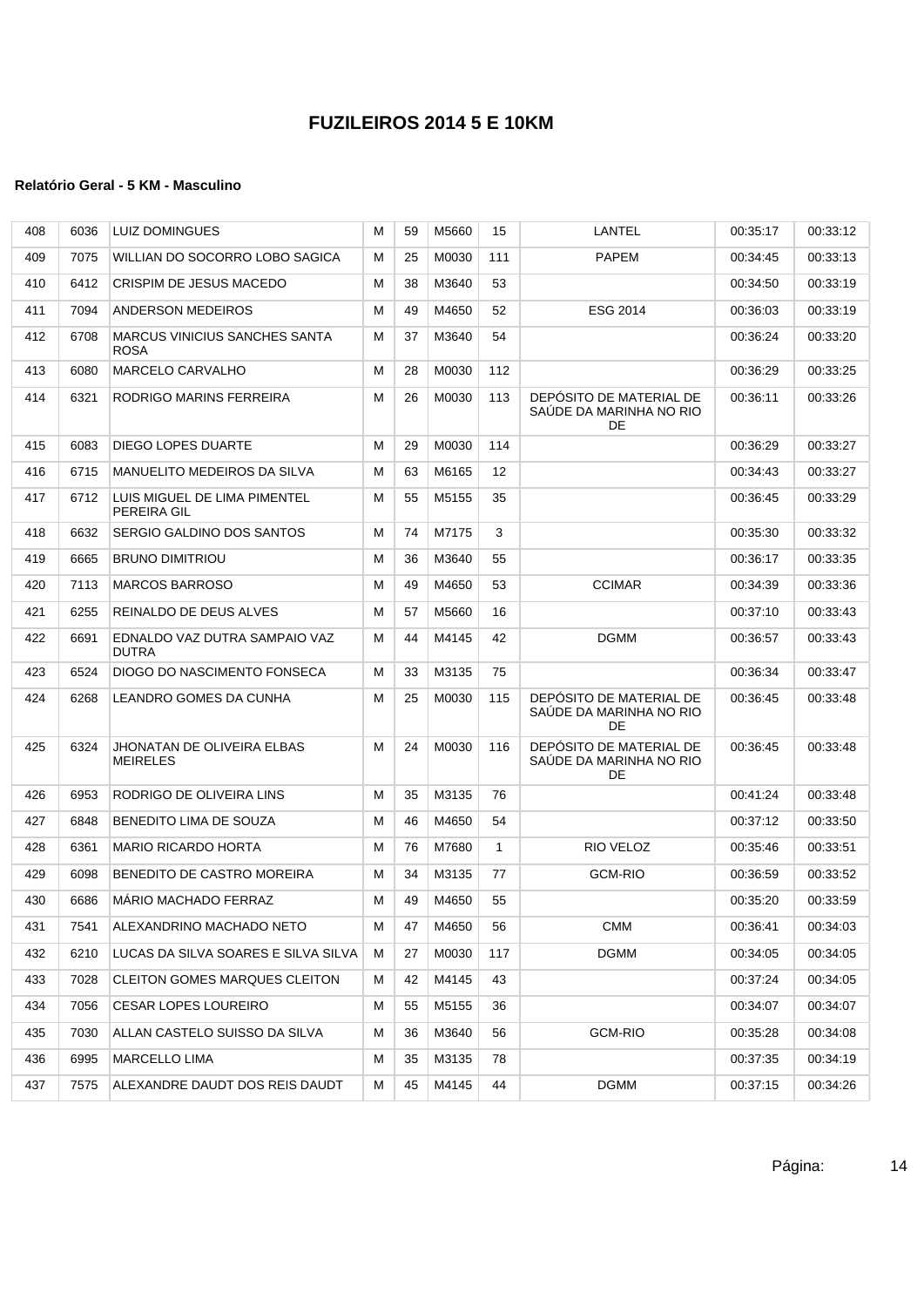| 408 | 6036 | <b>LUIZ DOMINGUES</b>                               | м | 59 | M5660 | 15           | LANTEL                                                   | 00:35:17 | 00:33:12 |
|-----|------|-----------------------------------------------------|---|----|-------|--------------|----------------------------------------------------------|----------|----------|
| 409 | 7075 | WILLIAN DO SOCORRO LOBO SAGICA                      | м | 25 | M0030 | 111          | <b>PAPEM</b>                                             | 00:34:45 | 00:33:13 |
| 410 | 6412 | CRISPIM DE JESUS MACEDO                             | м | 38 | M3640 | 53           |                                                          | 00:34:50 | 00:33:19 |
| 411 | 7094 | ANDERSON MEDEIROS                                   | М | 49 | M4650 | 52           | ESG 2014                                                 | 00:36:03 | 00:33:19 |
| 412 | 6708 | <b>MARCUS VINICIUS SANCHES SANTA</b><br><b>ROSA</b> | М | 37 | M3640 | 54           |                                                          | 00:36:24 | 00:33:20 |
| 413 | 6080 | <b>MARCELO CARVALHO</b>                             | М | 28 | M0030 | 112          |                                                          | 00:36:29 | 00:33:25 |
| 414 | 6321 | RODRIGO MARINS FERREIRA                             | М | 26 | M0030 | 113          | DEPÓSITO DE MATERIAL DE<br>SAÚDE DA MARINHA NO RIO<br>DE | 00:36:11 | 00:33:26 |
| 415 | 6083 | DIEGO LOPES DUARTE                                  | м | 29 | M0030 | 114          |                                                          | 00:36:29 | 00:33:27 |
| 416 | 6715 | MANUELITO MEDEIROS DA SILVA                         | м | 63 | M6165 | 12           |                                                          | 00:34:43 | 00:33:27 |
| 417 | 6712 | LUIS MIGUEL DE LIMA PIMENTEL<br>PEREIRA GIL         | м | 55 | M5155 | 35           |                                                          | 00:36:45 | 00:33:29 |
| 418 | 6632 | SERGIO GALDINO DOS SANTOS                           | М | 74 | M7175 | 3            |                                                          | 00:35:30 | 00:33:32 |
| 419 | 6665 | <b>BRUNO DIMITRIOU</b>                              | м | 36 | M3640 | 55           |                                                          | 00:36:17 | 00:33:35 |
| 420 | 7113 | <b>MARCOS BARROSO</b>                               | М | 49 | M4650 | 53           | <b>CCIMAR</b>                                            | 00:34:39 | 00:33:36 |
| 421 | 6255 | REINALDO DE DEUS ALVES                              | м | 57 | M5660 | 16           |                                                          | 00:37:10 | 00:33:43 |
| 422 | 6691 | EDNALDO VAZ DUTRA SAMPAIO VAZ<br><b>DUTRA</b>       | м | 44 | M4145 | 42           | <b>DGMM</b>                                              | 00:36:57 | 00:33:43 |
| 423 | 6524 | DIOGO DO NASCIMENTO FONSECA                         | м | 33 | M3135 | 75           |                                                          | 00:36:34 | 00:33:47 |
| 424 | 6268 | LEANDRO GOMES DA CUNHA                              | М | 25 | M0030 | 115          | DEPÓSITO DE MATERIAL DE<br>SAÚDE DA MARINHA NO RIO<br>DE | 00:36:45 | 00:33:48 |
| 425 | 6324 | JHONATAN DE OLIVEIRA ELBAS<br><b>MEIRELES</b>       | м | 24 | M0030 | 116          | DEPÓSITO DE MATERIAL DE<br>SAUDE DA MARINHA NO RIO<br>DE | 00:36:45 | 00:33:48 |
| 426 | 6953 | RODRIGO DE OLIVEIRA LINS                            | м | 35 | M3135 | 76           |                                                          | 00:41:24 | 00:33:48 |
| 427 | 6848 | BENEDITO LIMA DE SOUZA                              | м | 46 | M4650 | 54           |                                                          | 00:37:12 | 00:33:50 |
| 428 | 6361 | <b>MARIO RICARDO HORTA</b>                          | М | 76 | M7680 | $\mathbf{1}$ | RIO VELOZ                                                | 00:35:46 | 00:33:51 |
| 429 | 6098 | BENEDITO DE CASTRO MOREIRA                          | М | 34 | M3135 | 77           | <b>GCM-RIO</b>                                           | 00:36:59 | 00:33:52 |
| 430 | 6686 | <b>MARIO MACHADO FERRAZ</b>                         | М | 49 | M4650 | 55           |                                                          | 00:35:20 | 00:33:59 |
| 431 | 7541 | ALEXANDRINO MACHADO NETO                            | м | 47 | M4650 | 56           | <b>CMM</b>                                               | 00:36:41 | 00:34:03 |
| 432 | 6210 | LUCAS DA SILVA SOARES E SILVA SILVA                 | м | 27 | M0030 | 117          | <b>DGMM</b>                                              | 00:34:05 | 00:34:05 |
| 433 | 7028 | CLEITON GOMES MARQUES CLEITON                       | м | 42 | M4145 | 43           |                                                          | 00:37:24 | 00:34:05 |
| 434 | 7056 | <b>CESAR LOPES LOUREIRO</b>                         | М | 55 | M5155 | 36           |                                                          | 00:34:07 | 00:34:07 |
| 435 | 7030 | ALLAN CASTELO SUISSO DA SILVA                       | М | 36 | M3640 | 56           | GCM-RIO                                                  | 00:35:28 | 00:34:08 |
| 436 | 6995 | <b>MARCELLO LIMA</b>                                | м | 35 | M3135 | 78           |                                                          | 00:37:35 | 00:34:19 |
| 437 | 7575 | ALEXANDRE DAUDT DOS REIS DAUDT                      | м | 45 | M4145 | 44           | <b>DGMM</b>                                              | 00:37:15 | 00:34:26 |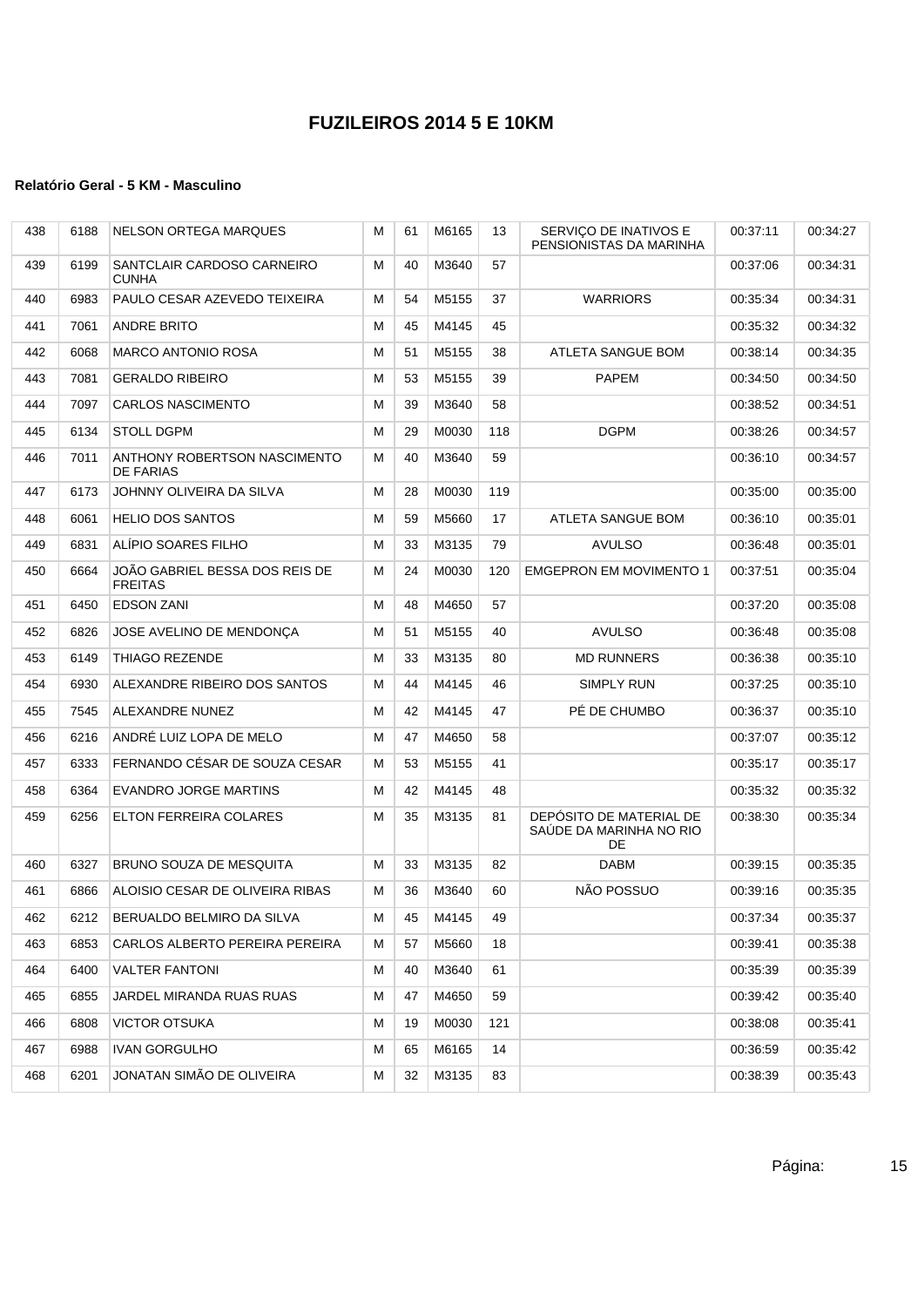| 438 | 6188 | <b>NELSON ORTEGA MARQUES</b>                     | M | 61 | M6165    | 13  | SERVIÇO DE INATIVOS E<br>PENSIONISTAS DA MARINHA         | 00:37:11 | 00:34:27 |
|-----|------|--------------------------------------------------|---|----|----------|-----|----------------------------------------------------------|----------|----------|
| 439 | 6199 | SANTCLAIR CARDOSO CARNEIRO<br><b>CUNHA</b>       | М | 40 | M3640    | 57  |                                                          | 00:37:06 | 00:34:31 |
| 440 | 6983 | PAULO CESAR AZEVEDO TEIXEIRA                     | M | 54 | M5155    | 37  | <b>WARRIORS</b>                                          | 00:35:34 | 00:34:31 |
| 441 | 7061 | <b>ANDRE BRITO</b>                               | M | 45 | M4145    | 45  |                                                          | 00:35:32 | 00:34:32 |
| 442 | 6068 | <b>MARCO ANTONIO ROSA</b>                        | М | 51 | M5155    | 38  | ATLETA SANGUE BOM                                        | 00:38:14 | 00:34:35 |
| 443 | 7081 | <b>GERALDO RIBEIRO</b>                           | М | 53 | M5155    | 39  | <b>PAPEM</b>                                             | 00:34:50 | 00:34:50 |
| 444 | 7097 | <b>CARLOS NASCIMENTO</b>                         | М | 39 | M3640    | 58  |                                                          | 00:38:52 | 00:34:51 |
| 445 | 6134 | <b>STOLL DGPM</b>                                | М | 29 | M0030    | 118 | <b>DGPM</b>                                              | 00:38:26 | 00:34:57 |
| 446 | 7011 | ANTHONY ROBERTSON NASCIMENTO<br><b>DE FARIAS</b> | М | 40 | M3640    | 59  |                                                          | 00:36:10 | 00:34:57 |
| 447 | 6173 | JOHNNY OLIVEIRA DA SILVA                         | М | 28 | M0030    | 119 |                                                          | 00:35:00 | 00:35:00 |
| 448 | 6061 | <b>HELIO DOS SANTOS</b>                          | М | 59 | M5660    | 17  | ATLETA SANGUE BOM                                        | 00:36:10 | 00:35:01 |
| 449 | 6831 | ALÍPIO SOARES FILHO                              | М | 33 | M3135    | 79  | <b>AVULSO</b>                                            | 00:36:48 | 00:35:01 |
| 450 | 6664 | JOÃO GABRIEL BESSA DOS REIS DE<br><b>FREITAS</b> | М | 24 | M0030    | 120 | <b>EMGEPRON EM MOVIMENTO 1</b>                           | 00:37:51 | 00:35:04 |
| 451 | 6450 | <b>EDSON ZANI</b>                                | М | 48 | M4650    | 57  |                                                          | 00:37:20 | 00:35:08 |
| 452 | 6826 | JOSE AVELINO DE MENDONCA                         | М | 51 | M5155    | 40  | <b>AVULSO</b>                                            | 00:36:48 | 00:35:08 |
| 453 | 6149 | <b>THIAGO REZENDE</b>                            | М | 33 | M3135    | 80  | <b>MD RUNNERS</b>                                        | 00:36:38 | 00:35:10 |
| 454 | 6930 | ALEXANDRE RIBEIRO DOS SANTOS                     | М | 44 | M4145    | 46  | SIMPLY RUN                                               | 00:37:25 | 00:35:10 |
| 455 | 7545 | ALEXANDRE NUNEZ                                  | М | 42 | M4145    | 47  | PÉ DE CHUMBO                                             | 00:36:37 | 00:35:10 |
| 456 | 6216 | ANDRÉ LUIZ LOPA DE MELO                          | M | 47 | M4650    | 58  |                                                          | 00:37:07 | 00:35:12 |
| 457 | 6333 | FERNANDO CÉSAR DE SOUZA CESAR                    | М | 53 | M5155    | 41  |                                                          | 00:35:17 | 00:35:17 |
| 458 | 6364 | <b>EVANDRO JORGE MARTINS</b>                     | М | 42 | M4145    | 48  |                                                          | 00:35:32 | 00:35:32 |
| 459 | 6256 | ELTON FERREIRA COLARES                           | M | 35 | M3135    | 81  | DEPÓSITO DE MATERIAL DE<br>SAÚDE DA MARINHA NO RIO<br>DE | 00:38:30 | 00:35:34 |
| 460 | 6327 | BRUNO SOUZA DE MESQUITA                          | М | 33 | M3135    | 82  | DABM                                                     | 00:39:15 | 00:35:35 |
| 461 | 6866 | ALOISIO CESAR DE OLIVEIRA RIBAS                  | М | 36 | M3640    | 60  | NÃO POSSUO                                               | 00:39:16 | 00:35:35 |
| 462 |      | 6212 BERUALDO BELMIRO DA SILVA                   | M |    | 45 M4145 | 49  |                                                          | 00:37:34 | 00:35:37 |
| 463 | 6853 | CARLOS ALBERTO PEREIRA PEREIRA                   | м | 57 | M5660    | 18  |                                                          | 00:39:41 | 00:35:38 |
| 464 | 6400 | <b>VALTER FANTONI</b>                            | м | 40 | M3640    | 61  |                                                          | 00:35:39 | 00:35:39 |
| 465 | 6855 | JARDEL MIRANDA RUAS RUAS                         | М | 47 | M4650    | 59  |                                                          | 00:39:42 | 00:35:40 |
| 466 | 6808 | <b>VICTOR OTSUKA</b>                             | м | 19 | M0030    | 121 |                                                          | 00:38:08 | 00:35:41 |
| 467 | 6988 | <b>IVAN GORGULHO</b>                             | м | 65 | M6165    | 14  |                                                          | 00:36:59 | 00:35:42 |
| 468 | 6201 | JONATAN SIMÃO DE OLIVEIRA                        | М | 32 | M3135    | 83  |                                                          | 00:38:39 | 00:35:43 |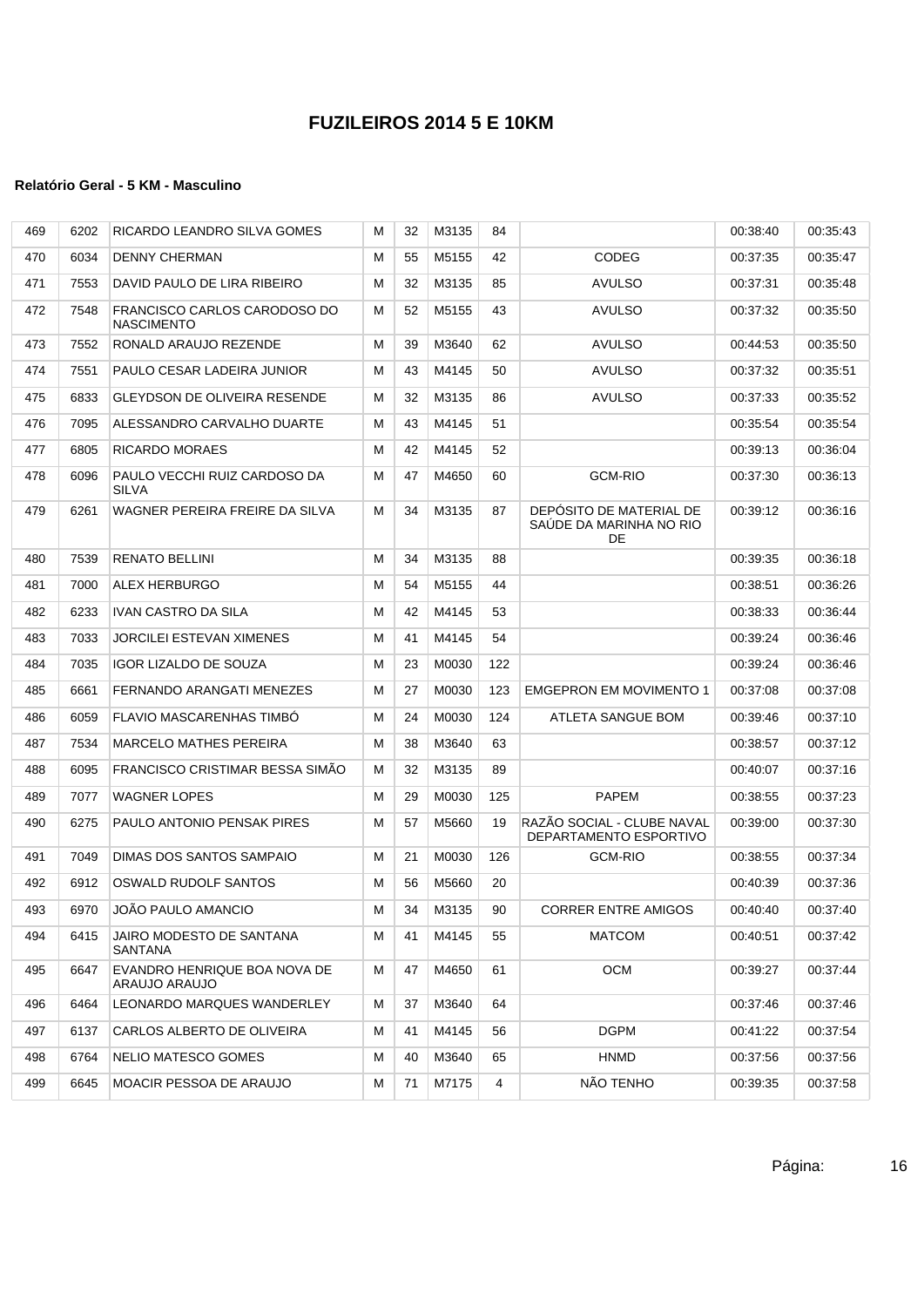| 469 | 6202 | RICARDO LEANDRO SILVA GOMES                   | м | 32 | M3135 | 84  |                                                          | 00:38:40 | 00:35:43 |
|-----|------|-----------------------------------------------|---|----|-------|-----|----------------------------------------------------------|----------|----------|
| 470 | 6034 | <b>DENNY CHERMAN</b>                          | м | 55 | M5155 | 42  | CODEG                                                    | 00:37:35 | 00:35:47 |
| 471 | 7553 | DAVID PAULO DE LIRA RIBEIRO                   | м | 32 | M3135 | 85  | <b>AVULSO</b>                                            | 00:37:31 | 00:35:48 |
| 472 | 7548 | FRANCISCO CARLOS CARODOSO DO<br>NASCIMENTO    | м | 52 | M5155 | 43  | <b>AVULSO</b>                                            | 00:37:32 | 00:35:50 |
| 473 | 7552 | RONALD ARAUJO REZENDE                         | м | 39 | M3640 | 62  | <b>AVULSO</b>                                            | 00:44:53 | 00:35:50 |
| 474 | 7551 | PAULO CESAR LADEIRA JUNIOR                    | м | 43 | M4145 | 50  | <b>AVULSO</b>                                            | 00:37:32 | 00:35:51 |
| 475 | 6833 | <b>GLEYDSON DE OLIVEIRA RESENDE</b>           | м | 32 | M3135 | 86  | <b>AVULSO</b>                                            | 00:37:33 | 00:35:52 |
| 476 | 7095 | ALESSANDRO CARVALHO DUARTE                    | м | 43 | M4145 | 51  |                                                          | 00:35:54 | 00:35:54 |
| 477 | 6805 | RICARDO MORAES                                | м | 42 | M4145 | 52  |                                                          | 00:39:13 | 00:36:04 |
| 478 | 6096 | PAULO VECCHI RUIZ CARDOSO DA<br>SILVA         | М | 47 | M4650 | 60  | <b>GCM-RIO</b>                                           | 00:37:30 | 00:36:13 |
| 479 | 6261 | WAGNER PEREIRA FREIRE DA SILVA                | м | 34 | M3135 | 87  | DEPÓSITO DE MATERIAL DE<br>SAUDE DA MARINHA NO RIO<br>DE | 00:39:12 | 00:36:16 |
| 480 | 7539 | RENATO BELLINI                                | м | 34 | M3135 | 88  |                                                          | 00:39:35 | 00:36:18 |
| 481 | 7000 | <b>ALEX HERBURGO</b>                          | м | 54 | M5155 | 44  |                                                          | 00:38:51 | 00:36:26 |
| 482 | 6233 | IVAN CASTRO DA SILA                           | м | 42 | M4145 | 53  |                                                          | 00:38:33 | 00:36:44 |
| 483 | 7033 | JORCILEI ESTEVAN XIMENES                      | м | 41 | M4145 | 54  |                                                          | 00:39:24 | 00:36:46 |
| 484 | 7035 | <b>IGOR LIZALDO DE SOUZA</b>                  | м | 23 | M0030 | 122 |                                                          | 00:39:24 | 00:36:46 |
| 485 | 6661 | FERNANDO ARANGATI MENEZES                     | М | 27 | M0030 | 123 | <b>EMGEPRON EM MOVIMENTO 1</b>                           | 00:37:08 | 00:37:08 |
| 486 | 6059 | FLAVIO MASCARENHAS TIMBO                      | м | 24 | M0030 | 124 | ATLETA SANGUE BOM                                        | 00:39:46 | 00:37:10 |
| 487 | 7534 | <b>MARCELO MATHES PEREIRA</b>                 | м | 38 | M3640 | 63  |                                                          | 00:38:57 | 00:37:12 |
| 488 | 6095 | FRANCISCO CRISTIMAR BESSA SIMAO               | м | 32 | M3135 | 89  |                                                          | 00:40:07 | 00:37:16 |
| 489 | 7077 | <b>WAGNER LOPES</b>                           | м | 29 | M0030 | 125 | <b>PAPEM</b>                                             | 00:38:55 | 00:37:23 |
| 490 | 6275 | PAULO ANTONIO PENSAK PIRES                    | M | 57 | M5660 | 19  | RAZÃO SOCIAL - CLUBE NAVAL<br>DEPARTAMENTO ESPORTIVO     | 00:39:00 | 00:37:30 |
| 491 | 7049 | DIMAS DOS SANTOS SAMPAIO                      | м | 21 | M0030 | 126 | <b>GCM-RIO</b>                                           | 00:38:55 | 00:37:34 |
| 492 | 6912 | OSWALD RUDOLF SANTOS                          | м | 56 | M5660 | 20  |                                                          | 00:40:39 | 00:37:36 |
| 493 | 6970 | JOAO PAULO AMANCIO                            | М | 34 | M3135 | 90  | <b>CORRER ENTRE AMIGOS</b>                               | 00:40:40 | 00:37:40 |
| 494 | 6415 | JAIRO MODESTO DE SANTANA<br><b>SANTANA</b>    | м | 41 | M4145 | 55  | <b>MATCOM</b>                                            | 00:40:51 | 00:37:42 |
| 495 | 6647 | EVANDRO HENRIQUE BOA NOVA DE<br>ARAUJO ARAUJO | м | 47 | M4650 | 61  | OCM                                                      | 00:39:27 | 00:37:44 |
| 496 | 6464 | LEONARDO MARQUES WANDERLEY                    | м | 37 | M3640 | 64  |                                                          | 00:37:46 | 00:37:46 |
| 497 | 6137 | CARLOS ALBERTO DE OLIVEIRA                    | м | 41 | M4145 | 56  | DGPM                                                     | 00:41:22 | 00:37:54 |
| 498 | 6764 | NELIO MATESCO GOMES                           | м | 40 | M3640 | 65  | <b>HNMD</b>                                              | 00:37:56 | 00:37:56 |
| 499 | 6645 | MOACIR PESSOA DE ARAUJO                       | м | 71 | M7175 | 4   | NÃO TENHO                                                | 00:39:35 | 00:37:58 |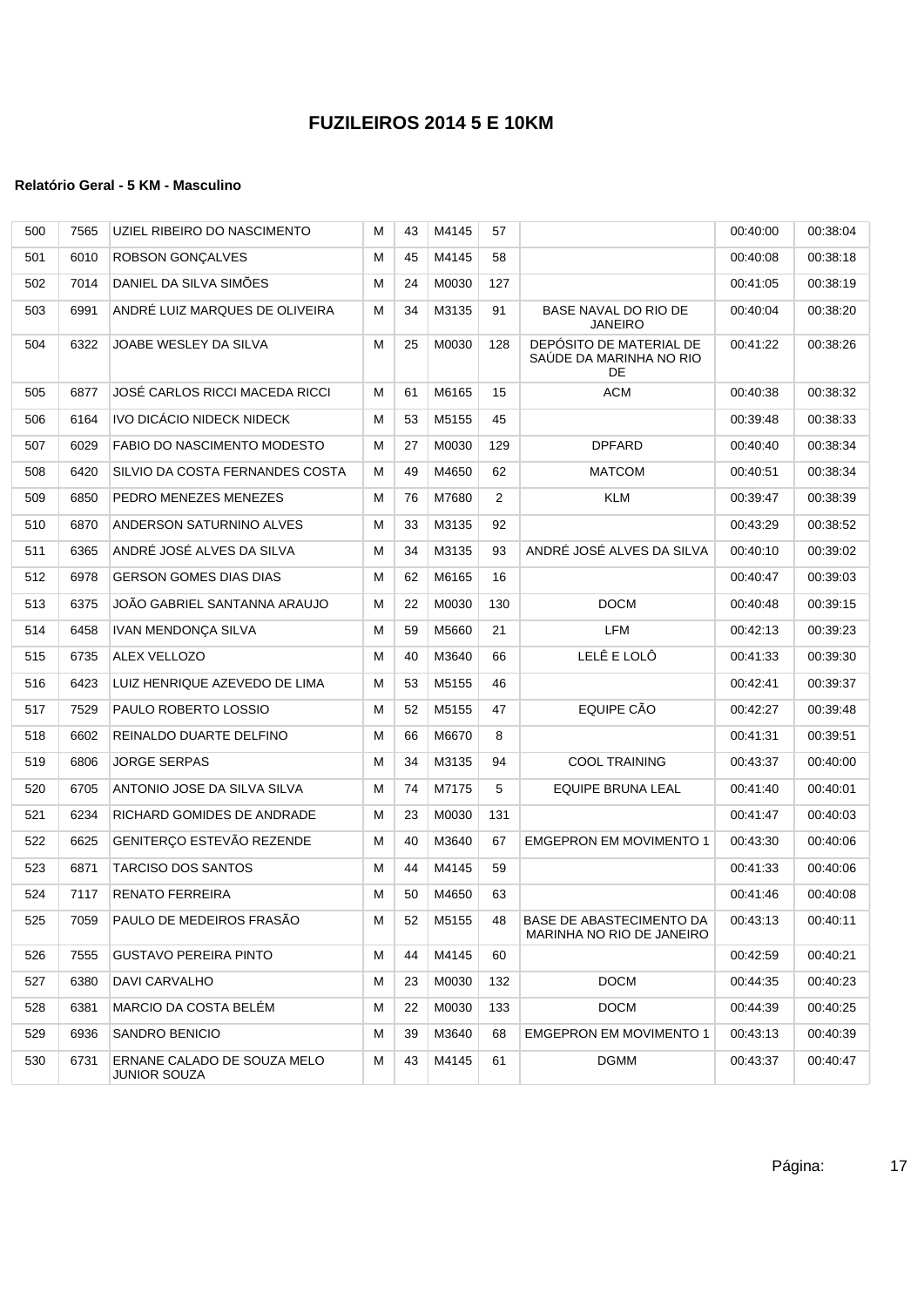| 500 | 7565 | UZIEL RIBEIRO DO NASCIMENTO                        | М | 43 | M4145 | 57  |                                                           | 00:40:00 | 00:38:04 |
|-----|------|----------------------------------------------------|---|----|-------|-----|-----------------------------------------------------------|----------|----------|
| 501 | 6010 | <b>ROBSON GONÇALVES</b>                            | м | 45 | M4145 | 58  |                                                           | 00:40:08 | 00:38:18 |
| 502 | 7014 | DANIEL DA SILVA SIMÕES                             | м | 24 | M0030 | 127 |                                                           | 00:41:05 | 00:38:19 |
| 503 | 6991 | ANDRÉ LUIZ MARQUES DE OLIVEIRA                     | М | 34 | M3135 | 91  | BASE NAVAL DO RIO DE<br><b>JANEIRO</b>                    | 00:40:04 | 00:38:20 |
| 504 | 6322 | JOABE WESLEY DA SILVA                              | M | 25 | M0030 | 128 | DEPÓSITO DE MATERIAL DE<br>SAÚDE DA MARINHA NO RIO<br>DE. | 00:41:22 | 00:38:26 |
| 505 | 6877 | JOSÉ CARLOS RICCI MACEDA RICCI                     | м | 61 | M6165 | 15  | <b>ACM</b>                                                | 00:40:38 | 00:38:32 |
| 506 | 6164 | IVO DICÁCIO NIDECK NIDECK                          | М | 53 | M5155 | 45  |                                                           | 00:39:48 | 00:38:33 |
| 507 | 6029 | FABIO DO NASCIMENTO MODESTO                        | М | 27 | M0030 | 129 | <b>DPFARD</b>                                             | 00:40:40 | 00:38:34 |
| 508 | 6420 | SILVIO DA COSTA FERNANDES COSTA                    | м | 49 | M4650 | 62  | <b>MATCOM</b>                                             | 00:40:51 | 00:38:34 |
| 509 | 6850 | PEDRO MENEZES MENEZES                              | М | 76 | M7680 | 2   | <b>KLM</b>                                                | 00:39:47 | 00:38:39 |
| 510 | 6870 | ANDERSON SATURNINO ALVES                           | м | 33 | M3135 | 92  |                                                           | 00:43:29 | 00:38:52 |
| 511 | 6365 | ANDRÉ JOSÉ ALVES DA SILVA                          | M | 34 | M3135 | 93  | ANDRÉ JOSÉ ALVES DA SILVA                                 | 00:40:10 | 00:39:02 |
| 512 | 6978 | <b>GERSON GOMES DIAS DIAS</b>                      | M | 62 | M6165 | 16  |                                                           | 00:40:47 | 00:39:03 |
| 513 | 6375 | JOÃO GABRIEL SANTANNA ARAUJO                       | м | 22 | M0030 | 130 | <b>DOCM</b>                                               | 00:40:48 | 00:39:15 |
| 514 | 6458 | <b>IVAN MENDONCA SILVA</b>                         | M | 59 | M5660 | 21  | LFM                                                       | 00:42:13 | 00:39:23 |
| 515 | 6735 | <b>ALEX VELLOZO</b>                                | M | 40 | M3640 | 66  | LELÊ E LOLÔ                                               | 00:41:33 | 00:39:30 |
| 516 | 6423 | LUIZ HENRIQUE AZEVEDO DE LIMA                      | М | 53 | M5155 | 46  |                                                           | 00:42:41 | 00:39:37 |
| 517 | 7529 | PAULO ROBERTO LOSSIO                               | M | 52 | M5155 | 47  | EQUIPE CÃO                                                | 00:42:27 | 00:39:48 |
| 518 | 6602 | REINALDO DUARTE DELFINO                            | M | 66 | M6670 | 8   |                                                           | 00:41:31 | 00:39:51 |
| 519 | 6806 | <b>JORGE SERPAS</b>                                | M | 34 | M3135 | 94  | <b>COOL TRAINING</b>                                      | 00:43:37 | 00:40:00 |
| 520 | 6705 | ANTONIO JOSE DA SILVA SILVA                        | М | 74 | M7175 | 5   | <b>EQUIPE BRUNA LEAL</b>                                  | 00:41:40 | 00:40:01 |
| 521 | 6234 | RICHARD GOMIDES DE ANDRADE                         | М | 23 | M0030 | 131 |                                                           | 00:41:47 | 00:40:03 |
| 522 | 6625 | GENITERCO ESTEVÃO REZENDE                          | м | 40 | M3640 | 67  | <b>EMGEPRON EM MOVIMENTO 1</b>                            | 00:43:30 | 00:40:06 |
| 523 | 6871 | <b>TARCISO DOS SANTOS</b>                          | М | 44 | M4145 | 59  |                                                           | 00:41:33 | 00:40:06 |
| 524 | 7117 | <b>RENATO FERREIRA</b>                             | M | 50 | M4650 | 63  |                                                           | 00:41:46 | 00:40:08 |
| 525 | 7059 | PAULO DE MEDEIROS FRASAO                           | м | 52 | M5155 | 48  | BASE DE ABASTECIMENTO DA<br>MARINHA NO RIO DE JANEIRO     | 00:43:13 | 00:40:11 |
| 526 | 7555 | <b>GUSTAVO PEREIRA PINTO</b>                       | м | 44 | M4145 | 60  |                                                           | 00:42:59 | 00:40:21 |
| 527 | 6380 | DAVI CARVALHO                                      | м | 23 | M0030 | 132 | <b>DOCM</b>                                               | 00:44:35 | 00:40:23 |
| 528 | 6381 | MARCIO DA COSTA BELEM                              | М | 22 | M0030 | 133 | <b>DOCM</b>                                               | 00:44:39 | 00:40:25 |
| 529 | 6936 | SANDRO BENICIO                                     | м | 39 | M3640 | 68  | <b>EMGEPRON EM MOVIMENTO 1</b>                            | 00:43:13 | 00:40:39 |
| 530 | 6731 | ERNANE CALADO DE SOUZA MELO<br><b>JUNIOR SOUZA</b> | м | 43 | M4145 | 61  | <b>DGMM</b>                                               | 00:43:37 | 00:40:47 |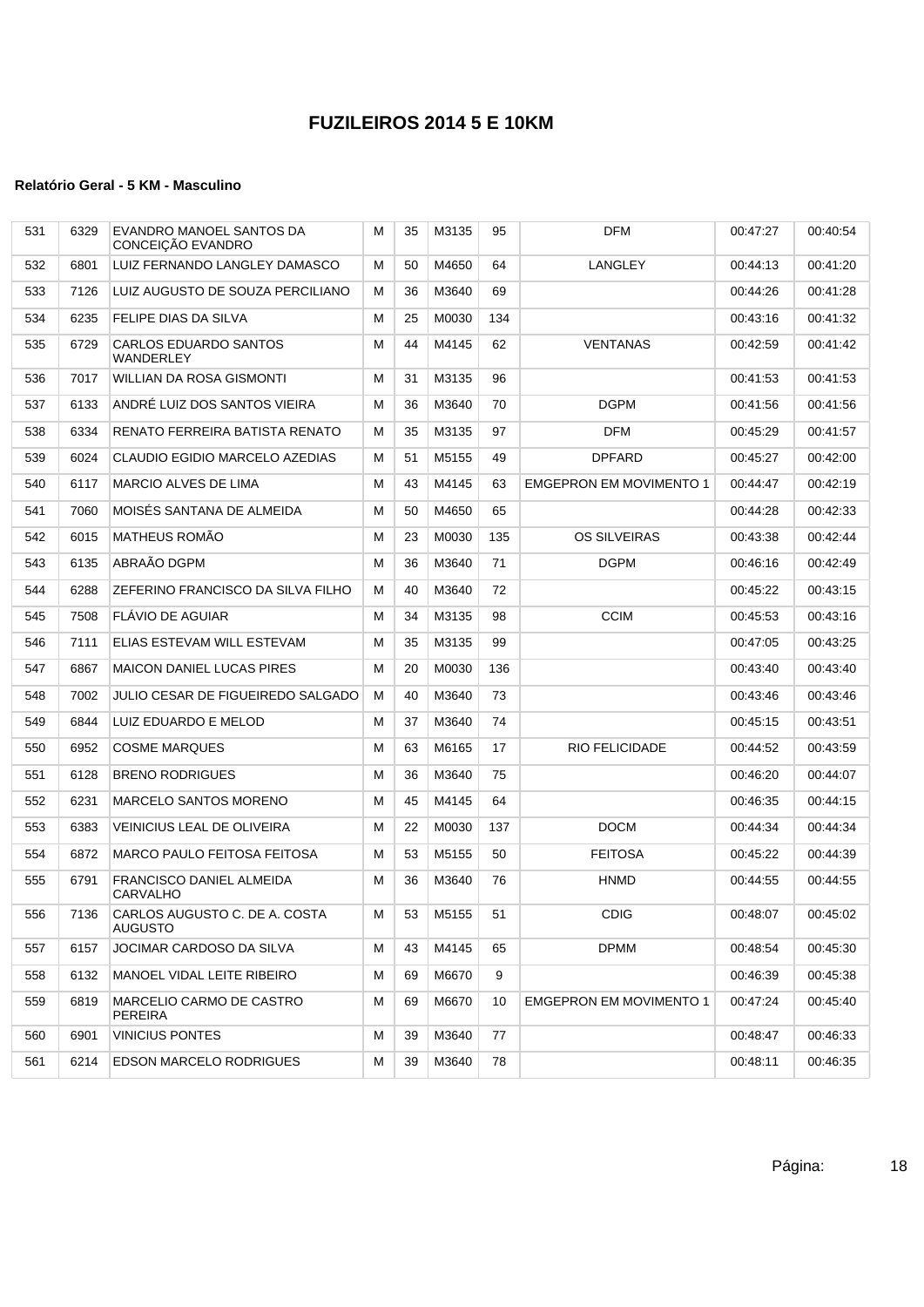| 531 | 6329 | EVANDRO MANOEL SANTOS DA<br>CONCEIÇÃO EVANDRO      | М | 35 | M3135 | 95  | <b>DFM</b>                     | 00:47:27 | 00:40:54 |
|-----|------|----------------------------------------------------|---|----|-------|-----|--------------------------------|----------|----------|
| 532 | 6801 | LUIZ FERNANDO LANGLEY DAMASCO                      | М | 50 | M4650 | 64  | LANGLEY                        | 00:44:13 | 00:41:20 |
| 533 | 7126 | LUIZ AUGUSTO DE SOUZA PERCILIANO                   | М | 36 | M3640 | 69  |                                | 00:44:26 | 00:41:28 |
| 534 | 6235 | <b>FELIPE DIAS DA SILVA</b>                        | M | 25 | M0030 | 134 |                                | 00:43:16 | 00:41:32 |
| 535 | 6729 | <b>CARLOS EDUARDO SANTOS</b><br><b>WANDERLEY</b>   | M | 44 | M4145 | 62  | <b>VENTANAS</b>                | 00:42:59 | 00:41:42 |
| 536 | 7017 | <b>WILLIAN DA ROSA GISMONTI</b>                    | М | 31 | M3135 | 96  |                                | 00:41:53 | 00:41:53 |
| 537 | 6133 | ANDRÉ LUIZ DOS SANTOS VIEIRA                       | М | 36 | M3640 | 70  | <b>DGPM</b>                    | 00:41:56 | 00:41:56 |
| 538 | 6334 | RENATO FERREIRA BATISTA RENATO                     | М | 35 | M3135 | 97  | <b>DFM</b>                     | 00:45:29 | 00:41:57 |
| 539 | 6024 | CLAUDIO EGIDIO MARCELO AZEDIAS                     | М | 51 | M5155 | 49  | <b>DPFARD</b>                  | 00:45:27 | 00:42:00 |
| 540 | 6117 | <b>MARCIO ALVES DE LIMA</b>                        | М | 43 | M4145 | 63  | <b>EMGEPRON EM MOVIMENTO 1</b> | 00:44:47 | 00:42:19 |
| 541 | 7060 | MOISÉS SANTANA DE ALMEIDA                          | M | 50 | M4650 | 65  |                                | 00:44:28 | 00:42:33 |
| 542 | 6015 | MATHEUS ROMÃO                                      | M | 23 | M0030 | 135 | <b>OS SILVEIRAS</b>            | 00:43:38 | 00:42:44 |
| 543 | 6135 | ABRAÃO DGPM                                        | м | 36 | M3640 | 71  | <b>DGPM</b>                    | 00:46:16 | 00:42:49 |
| 544 | 6288 | ZEFERINO FRANCISCO DA SILVA FILHO                  | М | 40 | M3640 | 72  |                                | 00:45:22 | 00:43:15 |
| 545 | 7508 | FLÁVIO DE AGUIAR                                   | М | 34 | M3135 | 98  | <b>CCIM</b>                    | 00:45:53 | 00:43:16 |
| 546 | 7111 | ELIAS ESTEVAM WILL ESTEVAM                         | M | 35 | M3135 | 99  |                                | 00:47:05 | 00:43:25 |
| 547 | 6867 | <b>MAICON DANIEL LUCAS PIRES</b>                   | М | 20 | M0030 | 136 |                                | 00:43:40 | 00:43:40 |
| 548 | 7002 | JULIO CESAR DE FIGUEIREDO SALGADO                  | М | 40 | M3640 | 73  |                                | 00:43:46 | 00:43:46 |
| 549 | 6844 | LUIZ EDUARDO E MELOD                               | М | 37 | M3640 | 74  |                                | 00:45:15 | 00:43:51 |
| 550 | 6952 | <b>COSME MARQUES</b>                               | М | 63 | M6165 | 17  | <b>RIO FELICIDADE</b>          | 00:44:52 | 00:43:59 |
| 551 | 6128 | <b>BRENO RODRIGUES</b>                             | M | 36 | M3640 | 75  |                                | 00:46:20 | 00:44:07 |
| 552 | 6231 | <b>MARCELO SANTOS MORENO</b>                       | М | 45 | M4145 | 64  |                                | 00:46:35 | 00:44:15 |
| 553 | 6383 | <b>VEINICIUS LEAL DE OLIVEIRA</b>                  | М | 22 | M0030 | 137 | <b>DOCM</b>                    | 00:44:34 | 00:44:34 |
| 554 | 6872 | <b>MARCO PAULO FEITOSA FEITOSA</b>                 | М | 53 | M5155 | 50  | <b>FEITOSA</b>                 | 00:45:22 | 00:44:39 |
| 555 | 6791 | <b>FRANCISCO DANIEL ALMEIDA</b><br><b>CARVALHO</b> | м | 36 | M3640 | 76  | <b>HNMD</b>                    | 00:44:55 | 00:44:55 |
| 556 | 7136 | CARLOS AUGUSTO C. DE A. COSTA<br><b>AUGUSTO</b>    | М | 53 | M5155 | 51  | <b>CDIG</b>                    | 00:48:07 | 00:45:02 |
| 557 | 6157 | JOCIMAR CARDOSO DA SILVA                           | м | 43 | M4145 | 65  | <b>DPMM</b>                    | 00:48:54 | 00:45:30 |
| 558 | 6132 | MANOEL VIDAL LEITE RIBEIRO                         | М | 69 | M6670 | 9   |                                | 00:46:39 | 00:45:38 |
| 559 | 6819 | MARCELIO CARMO DE CASTRO<br>PEREIRA                | М | 69 | M6670 | 10  | <b>EMGEPRON EM MOVIMENTO 1</b> | 00:47:24 | 00:45:40 |
| 560 | 6901 | <b>VINICIUS PONTES</b>                             | М | 39 | M3640 | 77  |                                | 00:48:47 | 00:46:33 |
| 561 | 6214 | <b>EDSON MARCELO RODRIGUES</b>                     | M | 39 | M3640 | 78  |                                | 00:48:11 | 00:46:35 |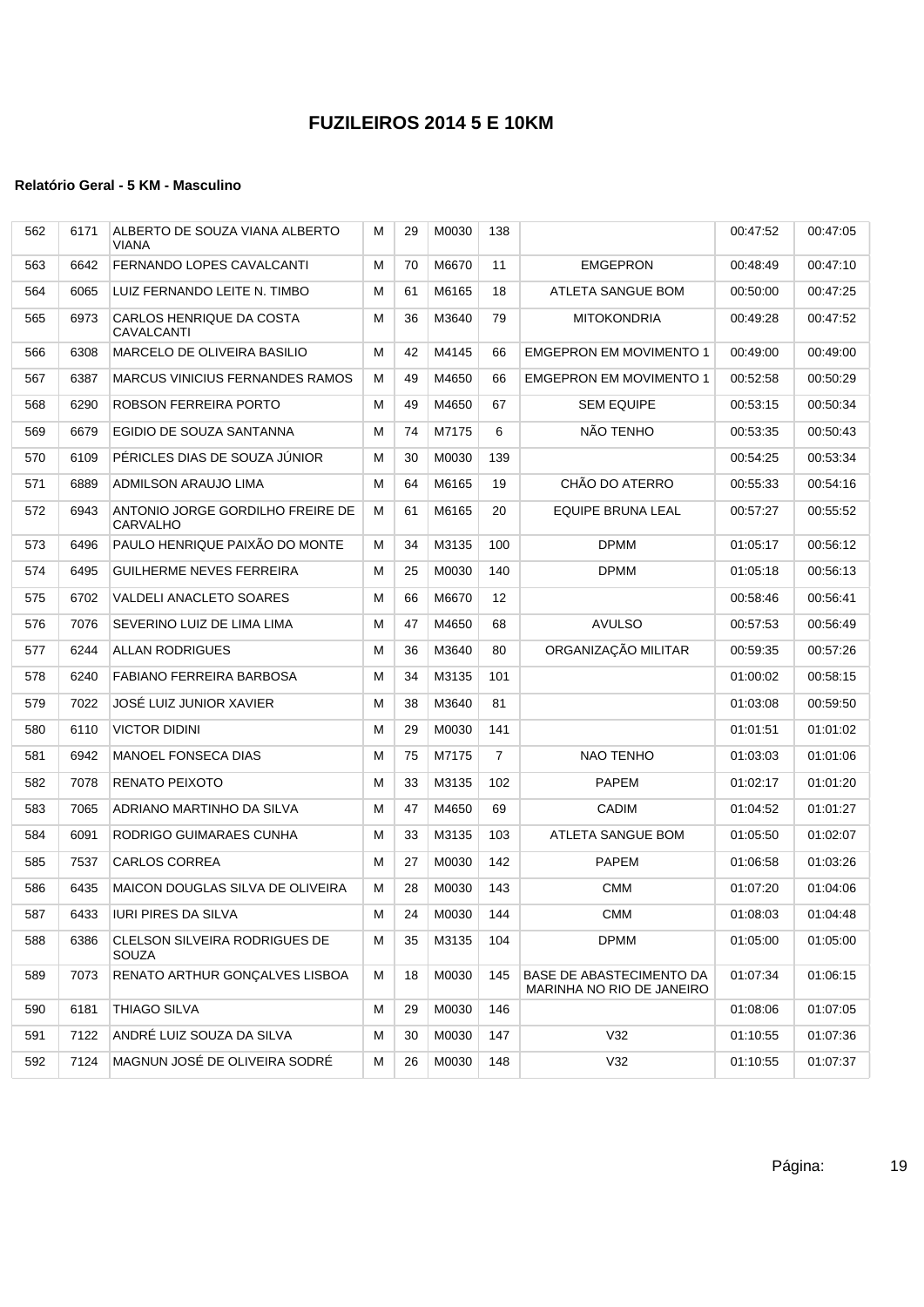| 562 | 6171 | ALBERTO DE SOUZA VIANA ALBERTO<br><b>VIANA</b>      | м | 29 | M0030 | 138             |                                                              | 00:47:52 | 00:47:05 |
|-----|------|-----------------------------------------------------|---|----|-------|-----------------|--------------------------------------------------------------|----------|----------|
| 563 | 6642 | FERNANDO LOPES CAVALCANTI                           | м | 70 | M6670 | 11              | <b>EMGEPRON</b>                                              | 00:48:49 | 00:47:10 |
| 564 | 6065 | LUIZ FERNANDO LEITE N. TIMBO                        | М | 61 | M6165 | 18              | ATLETA SANGUE BOM                                            | 00:50:00 | 00:47:25 |
| 565 | 6973 | CARLOS HENRIQUE DA COSTA<br>CAVALCANTI              | М | 36 | M3640 | 79              | <b>MITOKONDRIA</b>                                           | 00:49:28 | 00:47:52 |
| 566 | 6308 | MARCELO DE OLIVEIRA BASILIO                         | м | 42 | M4145 | 66              | <b>EMGEPRON EM MOVIMENTO 1</b>                               | 00:49:00 | 00:49:00 |
| 567 | 6387 | <b>MARCUS VINICIUS FERNANDES RAMOS</b>              | м | 49 | M4650 | 66              | <b>EMGEPRON EM MOVIMENTO 1</b>                               | 00:52:58 | 00:50:29 |
| 568 | 6290 | ROBSON FERREIRA PORTO                               | М | 49 | M4650 | 67              | <b>SEM EQUIPE</b>                                            | 00:53:15 | 00:50:34 |
| 569 | 6679 | EGIDIO DE SOUZA SANTANNA                            | М | 74 | M7175 | 6               | NÃO TENHO                                                    | 00:53:35 | 00:50:43 |
| 570 | 6109 | PERICLES DIAS DE SOUZA JUNIOR                       | М | 30 | M0030 | 139             |                                                              | 00:54:25 | 00:53:34 |
| 571 | 6889 | ADMILSON ARAUJO LIMA                                | М | 64 | M6165 | 19              | CHÃO DO ATERRO                                               | 00:55:33 | 00:54:16 |
| 572 | 6943 | ANTONIO JORGE GORDILHO FREIRE DE<br><b>CARVALHO</b> | М | 61 | M6165 | 20              | EQUIPE BRUNA LEAL                                            | 00:57:27 | 00:55:52 |
| 573 | 6496 | PAULO HENRIQUE PAIXÃO DO MONTE                      | м | 34 | M3135 | 100             | <b>DPMM</b>                                                  | 01:05:17 | 00:56:12 |
| 574 | 6495 | <b>GUILHERME NEVES FERREIRA</b>                     | М | 25 | M0030 | 140             | <b>DPMM</b>                                                  | 01:05:18 | 00:56:13 |
| 575 | 6702 | <b>VALDELI ANACLETO SOARES</b>                      | М | 66 | M6670 | 12 <sup>°</sup> |                                                              | 00:58:46 | 00:56:41 |
| 576 | 7076 | SEVERINO LUIZ DE LIMA LIMA                          | М | 47 | M4650 | 68              | <b>AVULSO</b>                                                | 00:57:53 | 00:56:49 |
| 577 | 6244 | <b>ALLAN RODRIGUES</b>                              | М | 36 | M3640 | 80              | ORGANIZAÇÃO MILITAR                                          | 00:59:35 | 00:57:26 |
| 578 | 6240 | FABIANO FERREIRA BARBOSA                            | М | 34 | M3135 | 101             |                                                              | 01:00:02 | 00:58:15 |
| 579 | 7022 | JOSÉ LUIZ JUNIOR XAVIER                             | М | 38 | M3640 | 81              |                                                              | 01:03:08 | 00:59:50 |
| 580 | 6110 | <b>VICTOR DIDINI</b>                                | м | 29 | M0030 | 141             |                                                              | 01:01:51 | 01:01:02 |
| 581 | 6942 | <b>MANOEL FONSECA DIAS</b>                          | М | 75 | M7175 | $\overline{7}$  | NAO TENHO                                                    | 01:03:03 | 01:01:06 |
| 582 | 7078 | RENATO PEIXOTO                                      | М | 33 | M3135 | 102             | <b>PAPEM</b>                                                 | 01:02:17 | 01:01:20 |
| 583 | 7065 | ADRIANO MARTINHO DA SILVA                           | м | 47 | M4650 | 69              | <b>CADIM</b>                                                 | 01:04:52 | 01:01:27 |
| 584 | 6091 | RODRIGO GUIMARAES CUNHA                             | М | 33 | M3135 | 103             | <b>ATLETA SANGUE BOM</b>                                     | 01:05:50 | 01:02:07 |
| 585 | 7537 | <b>CARLOS CORREA</b>                                | м | 27 | M0030 | 142             | <b>PAPEM</b>                                                 | 01:06:58 | 01:03:26 |
| 586 | 6435 | <b>MAICON DOUGLAS SILVA DE OLIVEIRA</b>             | м | 28 | M0030 | 143             | <b>CMM</b>                                                   | 01:07:20 | 01:04:06 |
| 587 | 6433 | <b>IURI PIRES DA SILVA</b>                          | M | 24 | M0030 | 144             | <b>CMM</b>                                                   | 01:08:03 | 01:04:48 |
| 588 | 6386 | CLELSON SILVEIRA RODRIGUES DE<br>SOUZA              | м | 35 | M3135 | 104             | <b>DPMM</b>                                                  | 01:05:00 | 01:05:00 |
| 589 | 7073 | RENATO ARTHUR GONÇALVES LISBOA                      | М | 18 | M0030 | 145             | <b>BASE DE ABASTECIMENTO DA</b><br>MARINHA NO RIO DE JANEIRO | 01:07:34 | 01:06:15 |
| 590 | 6181 | THIAGO SILVA                                        | М | 29 | M0030 | 146             |                                                              | 01:08:06 | 01:07:05 |
| 591 | 7122 | ANDRÉ LUIZ SOUZA DA SILVA                           | М | 30 | M0030 | 147             | V32                                                          | 01:10:55 | 01:07:36 |
| 592 | 7124 | MAGNUN JOSÉ DE OLIVEIRA SODRÉ                       | М | 26 | M0030 | 148             | V32                                                          | 01:10:55 | 01:07:37 |